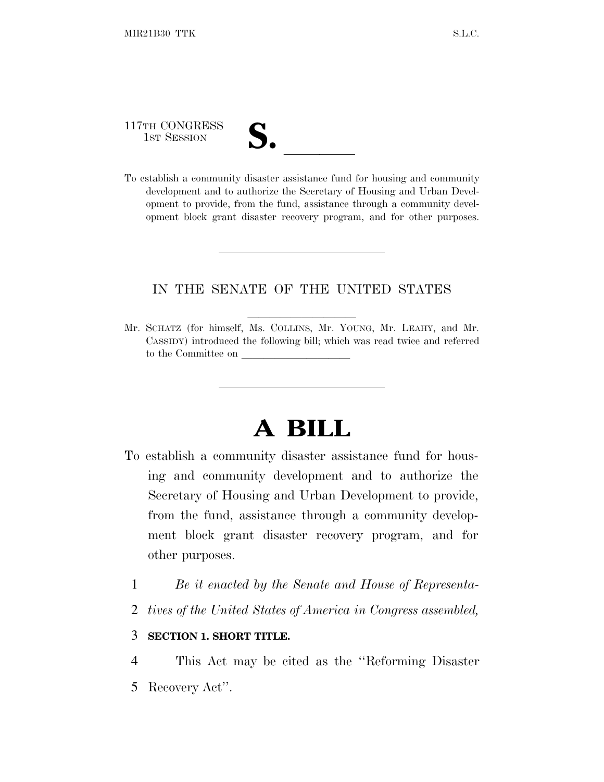117TH CONGRESS

| V. |  |
|----|--|
|    |  |

117TH CONGRESS<br>
1ST SESSION<br>
To establish a community disaster assistance fund for housing and community development and to authorize the Secretary of Housing and Urban Development to provide, from the fund, assistance through a community development block grant disaster recovery program, and for other purposes.

### IN THE SENATE OF THE UNITED STATES

Mr. SCHATZ (for himself, Ms. COLLINS, Mr. YOUNG, Mr. LEAHY, and Mr. CASSIDY) introduced the following bill; which was read twice and referred to the Committee on

# **A BILL**

- To establish a community disaster assistance fund for housing and community development and to authorize the Secretary of Housing and Urban Development to provide, from the fund, assistance through a community development block grant disaster recovery program, and for other purposes.
	- 1 *Be it enacted by the Senate and House of Representa-*
	- 2 *tives of the United States of America in Congress assembled,*

#### 3 **SECTION 1. SHORT TITLE.**

4 This Act may be cited as the ''Reforming Disaster 5 Recovery Act''.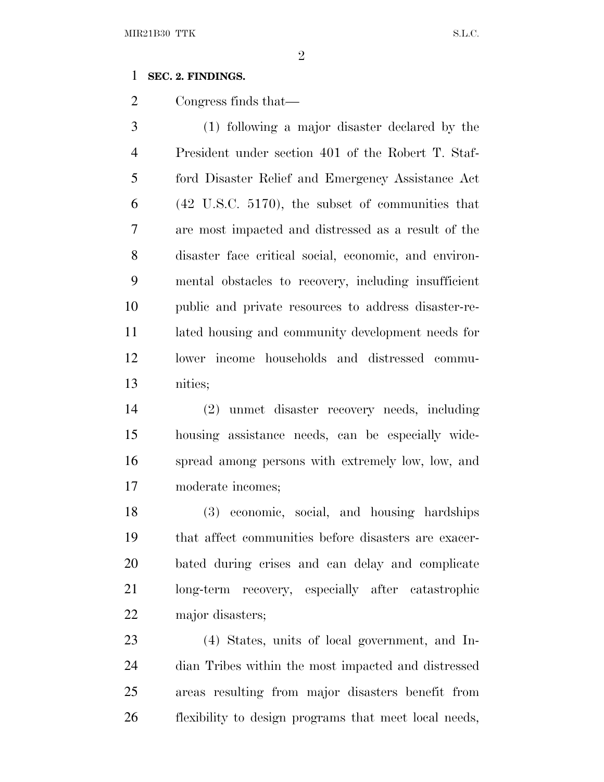#### **SEC. 2. FINDINGS.**

Congress finds that—

 (1) following a major disaster declared by the President under section 401 of the Robert T. Staf- ford Disaster Relief and Emergency Assistance Act (42 U.S.C. 5170), the subset of communities that are most impacted and distressed as a result of the disaster face critical social, economic, and environ- mental obstacles to recovery, including insufficient public and private resources to address disaster-re- lated housing and community development needs for lower income households and distressed commu-nities;

 (2) unmet disaster recovery needs, including housing assistance needs, can be especially wide- spread among persons with extremely low, low, and moderate incomes;

 (3) economic, social, and housing hardships that affect communities before disasters are exacer- bated during crises and can delay and complicate long-term recovery, especially after catastrophic major disasters;

 (4) States, units of local government, and In- dian Tribes within the most impacted and distressed areas resulting from major disasters benefit from flexibility to design programs that meet local needs,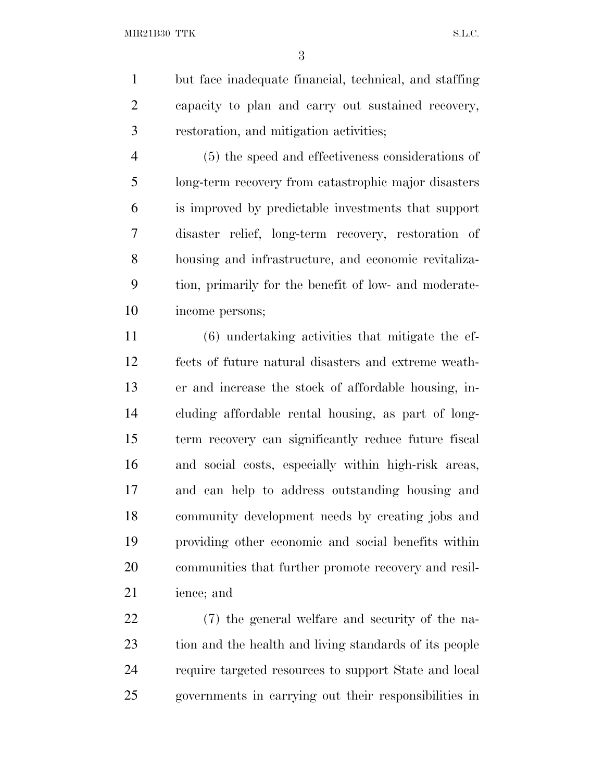but face inadequate financial, technical, and staffing capacity to plan and carry out sustained recovery, restoration, and mitigation activities;

 (5) the speed and effectiveness considerations of long-term recovery from catastrophic major disasters is improved by predictable investments that support disaster relief, long-term recovery, restoration of housing and infrastructure, and economic revitaliza- tion, primarily for the benefit of low- and moderate-income persons;

 (6) undertaking activities that mitigate the ef- fects of future natural disasters and extreme weath- er and increase the stock of affordable housing, in- cluding affordable rental housing, as part of long- term recovery can significantly reduce future fiscal and social costs, especially within high-risk areas, and can help to address outstanding housing and community development needs by creating jobs and providing other economic and social benefits within communities that further promote recovery and resil-ience; and

 (7) the general welfare and security of the na- tion and the health and living standards of its people require targeted resources to support State and local governments in carrying out their responsibilities in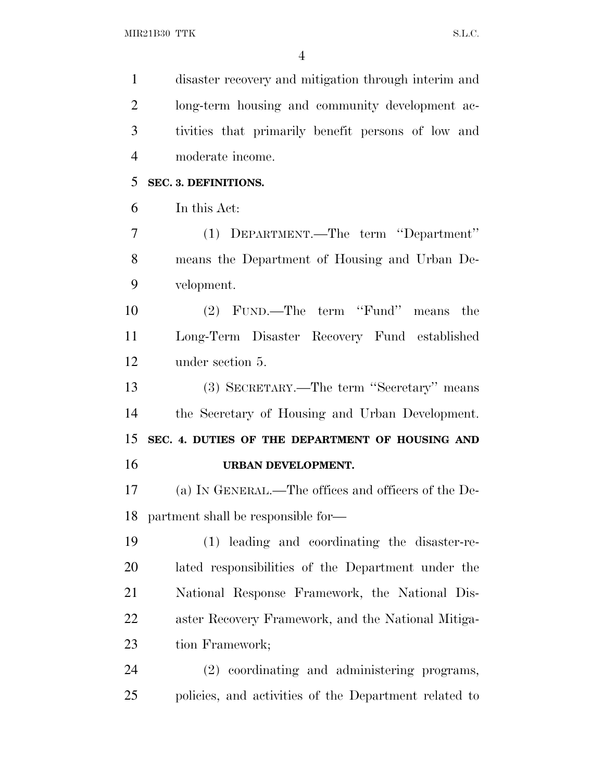| $\mathbf{1}$   | disaster recovery and mitigation through interim and  |
|----------------|-------------------------------------------------------|
| $\overline{2}$ | long-term housing and community development ac-       |
| 3              | tivities that primarily benefit persons of low and    |
| $\overline{4}$ | moderate income.                                      |
| 5              | SEC. 3. DEFINITIONS.                                  |
| 6              | In this Act:                                          |
| $\overline{7}$ | (1) DEPARTMENT.—The term "Department"                 |
| 8              | means the Department of Housing and Urban De-         |
| 9              | velopment.                                            |
| 10             | (2) FUND.—The term "Fund" means the                   |
| 11             | Long-Term Disaster Recovery Fund established          |
| 12             | under section 5.                                      |
| 13             | (3) SECRETARY.—The term "Secretary" means             |
| 14             | the Secretary of Housing and Urban Development.       |
| 15             | SEC. 4. DUTIES OF THE DEPARTMENT OF HOUSING AND       |
| 16             | URBAN DEVELOPMENT.                                    |
| 17             | (a) IN GENERAL.—The offices and officers of the De-   |
| 18             | partment shall be responsible for—                    |
| 19             | (1) leading and coordinating the disaster-re-         |
| 20             | lated responsibilities of the Department under the    |
| 21             | National Response Framework, the National Dis-        |
| 22             | aster Recovery Framework, and the National Mitiga-    |
| 23             | tion Framework;                                       |
| 24             | (2) coordinating and administering programs,          |
| 25             | policies, and activities of the Department related to |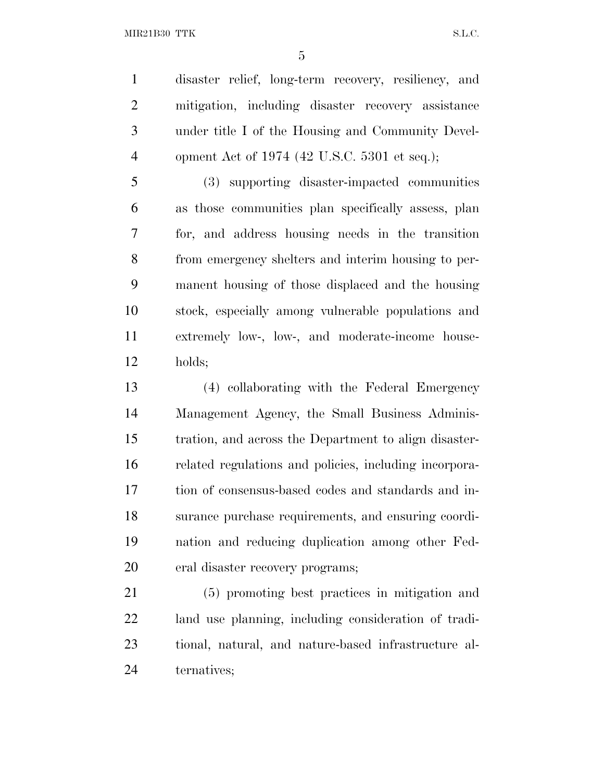MIR21B30 TTK S.L.C.

 disaster relief, long-term recovery, resiliency, and mitigation, including disaster recovery assistance under title I of the Housing and Community Devel-opment Act of 1974 (42 U.S.C. 5301 et seq.);

 (3) supporting disaster-impacted communities as those communities plan specifically assess, plan for, and address housing needs in the transition from emergency shelters and interim housing to per- manent housing of those displaced and the housing stock, especially among vulnerable populations and extremely low-, low-, and moderate-income house-holds;

 (4) collaborating with the Federal Emergency Management Agency, the Small Business Adminis- tration, and across the Department to align disaster- related regulations and policies, including incorpora- tion of consensus-based codes and standards and in- surance purchase requirements, and ensuring coordi- nation and reducing duplication among other Fed-eral disaster recovery programs;

 (5) promoting best practices in mitigation and land use planning, including consideration of tradi- tional, natural, and nature-based infrastructure al-ternatives;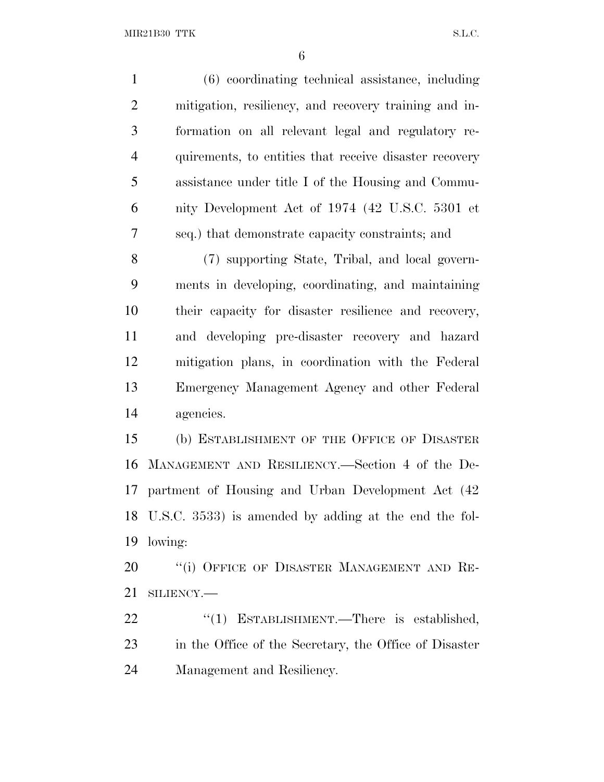MIR21B30 TTK S.L.C.

| $\mathbf{1}$   | (6) coordinating technical assistance, including         |
|----------------|----------------------------------------------------------|
| $\overline{2}$ | mitigation, resiliency, and recovery training and in-    |
| 3              | formation on all relevant legal and regulatory re-       |
| $\overline{4}$ | quirements, to entities that receive disaster recovery   |
| 5              | assistance under title I of the Housing and Commu-       |
| 6              | nity Development Act of 1974 (42 U.S.C. 5301 et          |
| 7              | seq.) that demonstrate capacity constraints; and         |
| 8              | (7) supporting State, Tribal, and local govern-          |
| 9              | ments in developing, coordinating, and maintaining       |
| 10             | their capacity for disaster resilience and recovery,     |
| 11             | and developing pre-disaster recovery and hazard          |
| 12             | mitigation plans, in coordination with the Federal       |
| 13             | Emergency Management Agency and other Federal            |
| 14             | agencies.                                                |
| 15             | (b) ESTABLISHMENT OF THE OFFICE OF DISASTER              |
| 16             | MANAGEMENT AND RESILIENCY.—Section 4 of the De-          |
| 17             | partment of Housing and Urban Development Act (42)       |
|                | 18 U.S.C. 3533) is amended by adding at the end the fol- |
| 19             | lowing:                                                  |
| 20             | "(i) OFFICE OF DISASTER MANAGEMENT AND RE-               |
| 21             | SILIENCY.-                                               |
| 22             | "(1) ESTABLISHMENT.—There is established,                |

 in the Office of the Secretary, the Office of Disaster Management and Resiliency.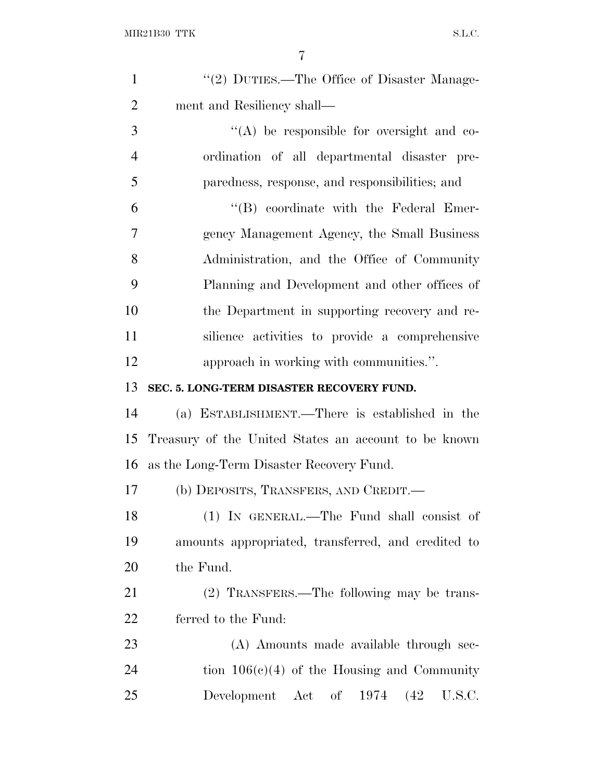| $\mathbf{1}$   | "(2) DUTIES.—The Office of Disaster Manage-          |
|----------------|------------------------------------------------------|
| $\overline{2}$ | ment and Resiliency shall-                           |
| 3              | $\lq\lq$ be responsible for oversight and co-        |
| $\overline{4}$ | ordination of all departmental disaster pre-         |
| 5              | paredness, response, and responsibilities; and       |
| 6              | $\lq\lq$ coordinate with the Federal Emer-           |
| 7              | gency Management Agency, the Small Business          |
| 8              | Administration, and the Office of Community          |
| 9              | Planning and Development and other offices of        |
| 10             | the Department in supporting recovery and re-        |
| 11             | silience activities to provide a comprehensive       |
| 12             | approach in working with communities.".              |
| 13             | SEC. 5. LONG-TERM DISASTER RECOVERY FUND.            |
| 14             | (a) ESTABLISHMENT.—There is established in the       |
| 15             | Treasury of the United States an account to be known |
| 16             | as the Long-Term Disaster Recovery Fund.             |
| 17             | (b) DEPOSITS, TRANSFERS, AND CREDIT.—                |
| 18             | (1) IN GENERAL.—The Fund shall consist of            |
| 19             | amounts appropriated, transferred, and credited to   |
| 20             | the Fund.                                            |
| 21             | (2) TRANSFERS.—The following may be trans-           |
| 22             | ferred to the Fund:                                  |
| 23             | (A) Amounts made available through sec-              |
| 24             | tion $106(c)(4)$ of the Housing and Community        |
| 25             | Development Act of 1974<br>U.S.C.<br>(42)            |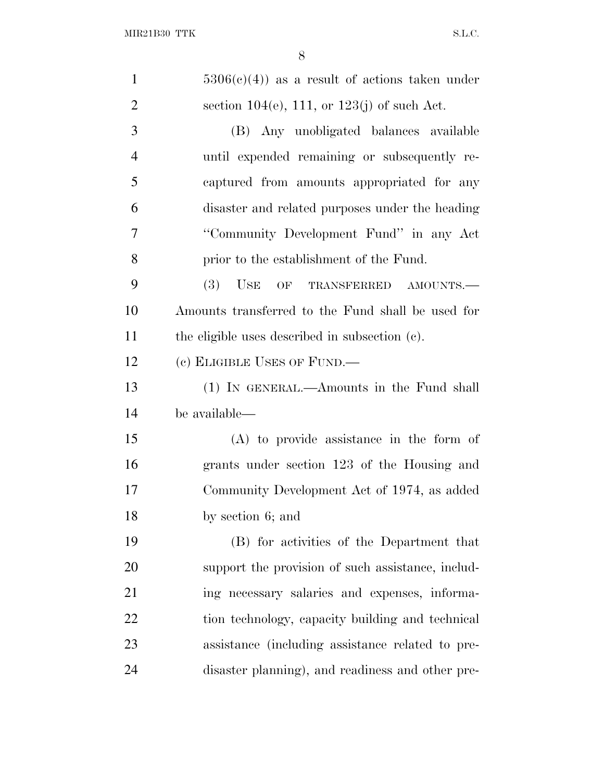| $\mathbf{1}$   | $5306(e)(4)$ as a result of actions taken under   |
|----------------|---------------------------------------------------|
| $\overline{2}$ | section 104(e), 111, or 123(j) of such Act.       |
| 3              | (B) Any unobligated balances available            |
| $\overline{4}$ | until expended remaining or subsequently re-      |
| 5              | captured from amounts appropriated for any        |
| 6              | disaster and related purposes under the heading   |
| $\overline{7}$ | "Community Development Fund" in any Act           |
| 8              | prior to the establishment of the Fund.           |
| 9              | (3)<br>USE<br>OF TRANSFERRED AMOUNTS.-            |
| 10             | Amounts transferred to the Fund shall be used for |
| 11             | the eligible uses described in subsection (c).    |
| 12             | (c) ELIGIBLE USES OF FUND.—                       |
| 13             | (1) IN GENERAL.—Amounts in the Fund shall         |
| 14             | be available—                                     |
| 15             | $(A)$ to provide assistance in the form of        |
| 16             | grants under section 123 of the Housing and       |
| 17             | Community Development Act of 1974, as added       |
| 18             | by section 6; and                                 |
| 19             | (B) for activities of the Department that         |
| 20             | support the provision of such assistance, includ- |
| 21             | ing necessary salaries and expenses, informa-     |
| 22             | tion technology, capacity building and technical  |
| 23             | assistance (including assistance related to pre-  |
| 24             | disaster planning), and readiness and other pre-  |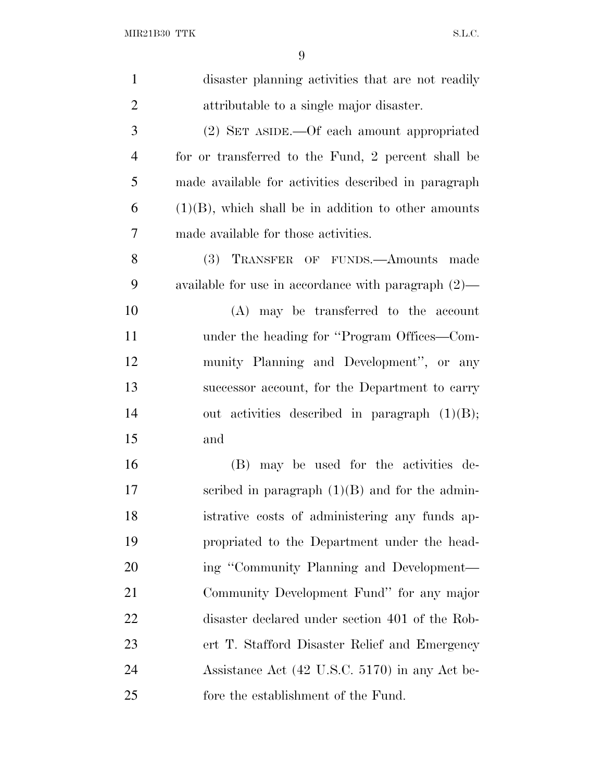| $\mathbf{1}$   | disaster planning activities that are not readily      |
|----------------|--------------------------------------------------------|
| $\overline{2}$ | attributable to a single major disaster.               |
| 3              | (2) SET ASIDE.—Of each amount appropriated             |
| $\overline{4}$ | for or transferred to the Fund, 2 percent shall be     |
| 5              | made available for activities described in paragraph   |
| 6              | $(1)(B)$ , which shall be in addition to other amounts |
| 7              | made available for those activities.                   |
| 8              | (3)<br>TRANSFER OF FUNDS.—Amounts made                 |
| 9              | available for use in accordance with paragraph $(2)$ — |
| 10             | (A) may be transferred to the account                  |
| 11             | under the heading for "Program Offices—Com-            |
| 12             | munity Planning and Development", or any               |
| 13             | successor account, for the Department to carry         |
| 14             | out activities described in paragraph $(1)(B)$ ;       |
| 15             | and                                                    |
| 16             | (B) may be used for the activities de-                 |
| 17             | scribed in paragraph $(1)(B)$ and for the admin-       |
| 18             | istrative costs of administering any funds ap-         |
| 19             | propriated to the Department under the head-           |
| 20             | ing "Community Planning and Development—               |
| 21             | Community Development Fund" for any major              |
| <u>22</u>      | disaster declared under section 401 of the Rob-        |
| 23             | ert T. Stafford Disaster Relief and Emergency          |
| 24             | Assistance Act (42 U.S.C. 5170) in any Act be-         |
| 25             | fore the establishment of the Fund.                    |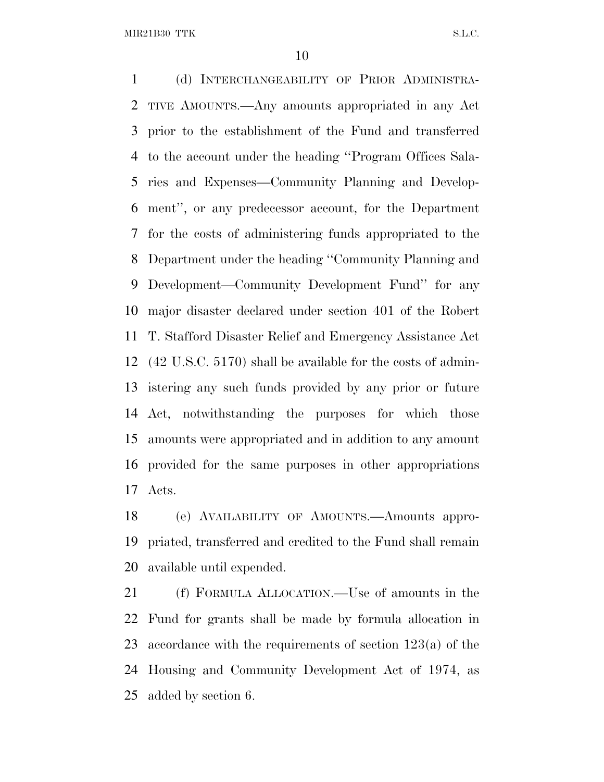MIR21B30 TTK S.L.C.

 (d) INTERCHANGEABILITY OF PRIOR ADMINISTRA- TIVE AMOUNTS.—Any amounts appropriated in any Act prior to the establishment of the Fund and transferred to the account under the heading ''Program Offices Sala- ries and Expenses—Community Planning and Develop- ment'', or any predecessor account, for the Department for the costs of administering funds appropriated to the Department under the heading ''Community Planning and Development—Community Development Fund'' for any major disaster declared under section 401 of the Robert T. Stafford Disaster Relief and Emergency Assistance Act (42 U.S.C. 5170) shall be available for the costs of admin- istering any such funds provided by any prior or future Act, notwithstanding the purposes for which those amounts were appropriated and in addition to any amount provided for the same purposes in other appropriations Acts.

 (e) AVAILABILITY OF AMOUNTS.—Amounts appro- priated, transferred and credited to the Fund shall remain available until expended.

 (f) FORMULA ALLOCATION.—Use of amounts in the Fund for grants shall be made by formula allocation in accordance with the requirements of section 123(a) of the Housing and Community Development Act of 1974, as added by section 6.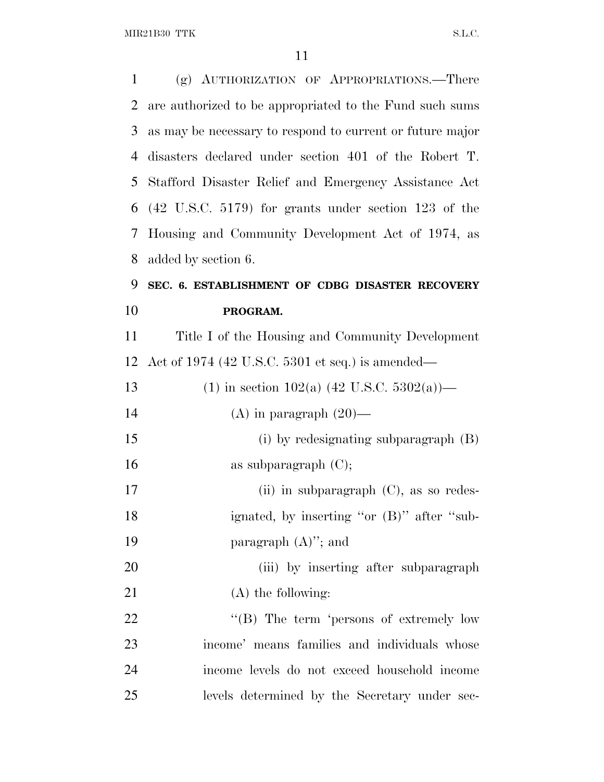$\rm MIR21B30~TTK \rm \hspace{20pt} SL.C.$ 

| $\mathbf{1}$ | (g) AUTHORIZATION OF APPROPRIATIONS.-There                |
|--------------|-----------------------------------------------------------|
| 2            | are authorized to be appropriated to the Fund such sums   |
| 3            | as may be necessary to respond to current or future major |
| 4            | disasters declared under section 401 of the Robert T.     |
| 5            | Stafford Disaster Relief and Emergency Assistance Act     |
| 6            | $(42 \tU.S.C. 5179)$ for grants under section 123 of the  |
| 7            | Housing and Community Development Act of 1974, as         |
| 8            | added by section 6.                                       |
| 9            | SEC. 6. ESTABLISHMENT OF CDBG DISASTER RECOVERY           |
| 10           | PROGRAM.                                                  |
| 11           | Title I of the Housing and Community Development          |
| 12           | Act of 1974 (42 U.S.C. 5301 et seq.) is amended—          |
| 13           | (1) in section 102(a) (42 U.S.C. 5302(a))—                |
| 14           | (A) in paragraph $(20)$ —                                 |
| 15           | (i) by redesignating subparagraph (B)                     |
| 16           | as subparagraph $(C)$ ;                                   |
| 17           | (ii) in subparagraph $(C)$ , as so redes-                 |
| 18           | ignated, by inserting "or (B)" after "sub-                |
| 19           | paragraph $(A)$ "; and                                    |
| 20           | (iii) by inserting after subparagraph                     |
| 21           | $(A)$ the following:                                      |
| 22           | "(B) The term 'persons of extremely low                   |
| 23           | income' means families and individuals whose              |
| 24           | income levels do not exceed household income              |
| 25           | levels determined by the Secretary under sec-             |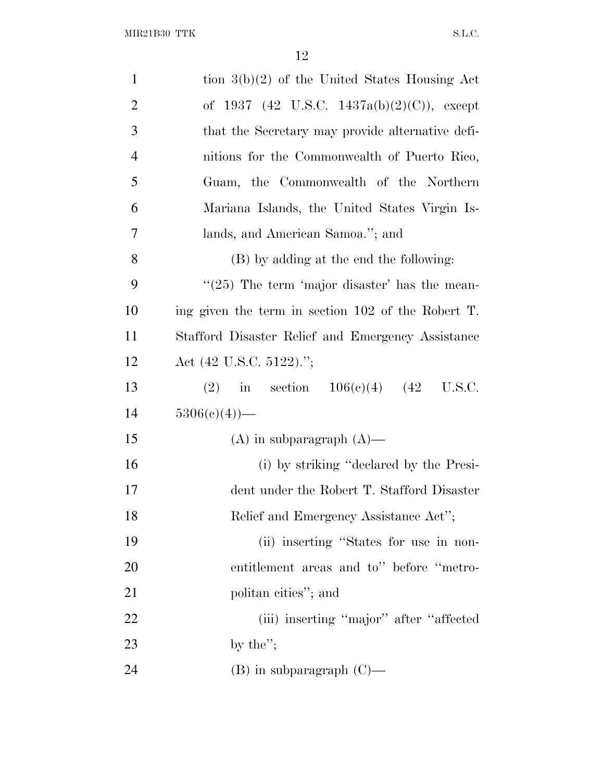| $\mathbf{1}$   | tion $3(b)(2)$ of the United States Housing Act    |
|----------------|----------------------------------------------------|
| $\overline{2}$ | of 1937 (42 U.S.C. 1437a(b)(2)(C)), except         |
| 3              | that the Secretary may provide alternative defi-   |
| $\overline{4}$ | nitions for the Commonwealth of Puerto Rico,       |
| 5              | Guam, the Commonwealth of the Northern             |
| 6              | Mariana Islands, the United States Virgin Is-      |
| 7              | lands, and American Samoa."; and                   |
| 8              | (B) by adding at the end the following:            |
| 9              | $\lq(25)$ The term 'major disaster' has the mean-  |
| 10             | ing given the term in section 102 of the Robert T. |
| <sup>11</sup>  | Stafford Disaster Relief and Emergency Assistance  |
| 12             | Act $(42 \text{ U.S.C. } 5122)$ .";                |
| 13             | (2) in section $106(e)(4)$ (42 U.S.C.              |
| 14             | $5306(c)(4)$ —                                     |
| 15             | $(A)$ in subparagraph $(A)$ —                      |
| 16             | (i) by striking "declared by the Presi-            |
| 17             | dent under the Robert T. Stafford Disaster         |
| 18             | Relief and Emergency Assistance Act";              |
| 19             | (ii) inserting "States for use in non-             |
| 20             | entitlement areas and to" before "metro-           |
| 21             | politan cities"; and                               |
| 22             | (iii) inserting "major" after "affected            |
| 23             |                                                    |
|                | by the";                                           |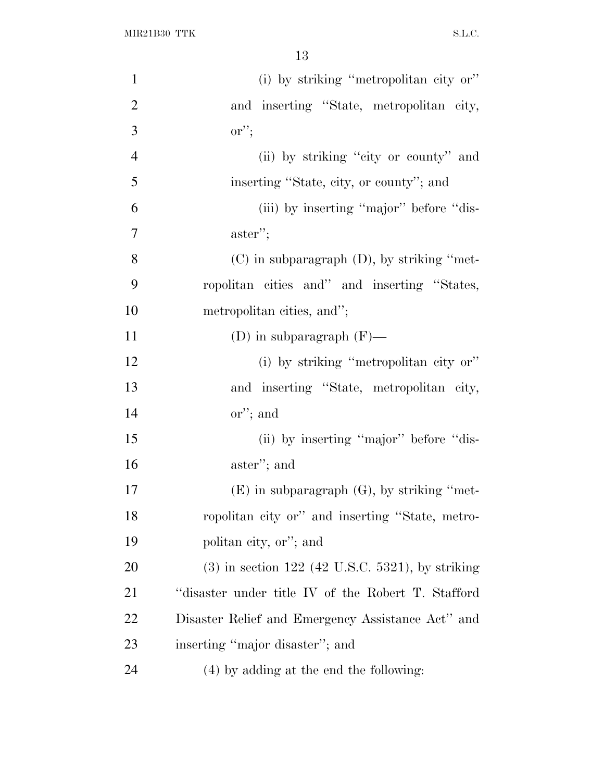| $\mathbf{1}$   | (i) by striking "metropolitan city or"             |
|----------------|----------------------------------------------------|
| $\overline{2}$ | and inserting "State, metropolitan city,           |
| 3              | $\mathrm{or}''$                                    |
| $\overline{4}$ | (ii) by striking "city or county" and              |
| 5              | inserting "State, city, or county"; and            |
| 6              | (iii) by inserting "major" before "dis-            |
| $\overline{7}$ | $\alpha$ aster";                                   |
| 8              | $(C)$ in subparagraph $(D)$ , by striking "met-    |
| 9              | ropolitan cities and" and inserting "States,       |
| 10             | metropolitan cities, and";                         |
| 11             | (D) in subparagraph $(F)$ —                        |
| 12             | (i) by striking "metropolitan city or"             |
| 13             | and inserting "State, metropolitan city,           |
| 14             | $\text{or}''$ ; and                                |
| 15             | (ii) by inserting "major" before "dis-             |
| 16             | aster"; and                                        |
| 17             | $(E)$ in subparagraph $(G)$ , by striking "met-    |
| 18             | ropolitan city or" and inserting "State, metro-    |
| 19             | politan city, or"; and                             |
| 20             | $(3)$ in section 122 (42 U.S.C. 5321), by striking |
| 21             | "disaster under title IV of the Robert T. Stafford |
| 22             | Disaster Relief and Emergency Assistance Act" and  |
| 23             | inserting "major disaster"; and                    |
| 24             | (4) by adding at the end the following:            |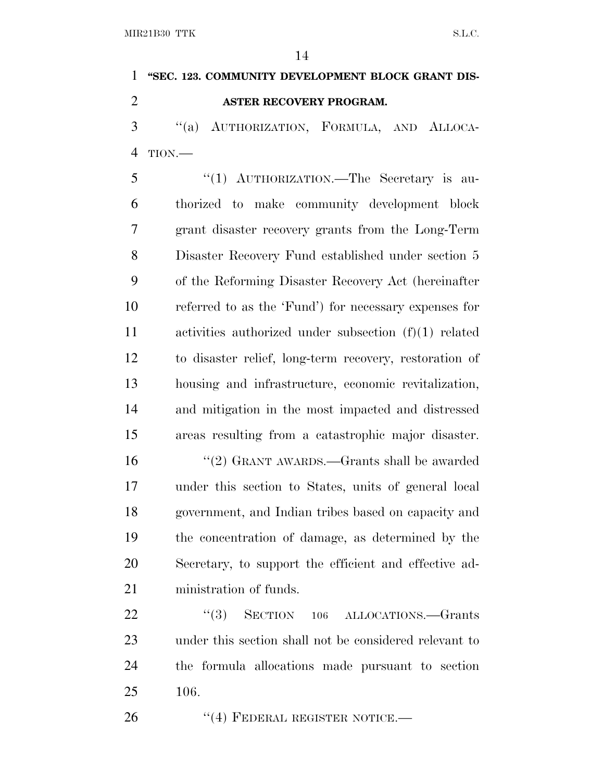**''SEC. 123. COMMUNITY DEVELOPMENT BLOCK GRANT DIS-ASTER RECOVERY PROGRAM.**

 ''(a) AUTHORIZATION, FORMULA, AND ALLOCA-TION.—

5 "(1) AUTHORIZATION.—The Secretary is au- thorized to make community development block grant disaster recovery grants from the Long-Term Disaster Recovery Fund established under section 5 of the Reforming Disaster Recovery Act (hereinafter referred to as the 'Fund') for necessary expenses for activities authorized under subsection (f)(1) related to disaster relief, long-term recovery, restoration of housing and infrastructure, economic revitalization, and mitigation in the most impacted and distressed areas resulting from a catastrophic major disaster.

 ''(2) GRANT AWARDS.—Grants shall be awarded under this section to States, units of general local government, and Indian tribes based on capacity and the concentration of damage, as determined by the Secretary, to support the efficient and effective ad-ministration of funds.

22 "(3) SECTION 106 ALLOCATIONS.—Grants under this section shall not be considered relevant to the formula allocations made pursuant to section 106.

26 "(4) FEDERAL REGISTER NOTICE.—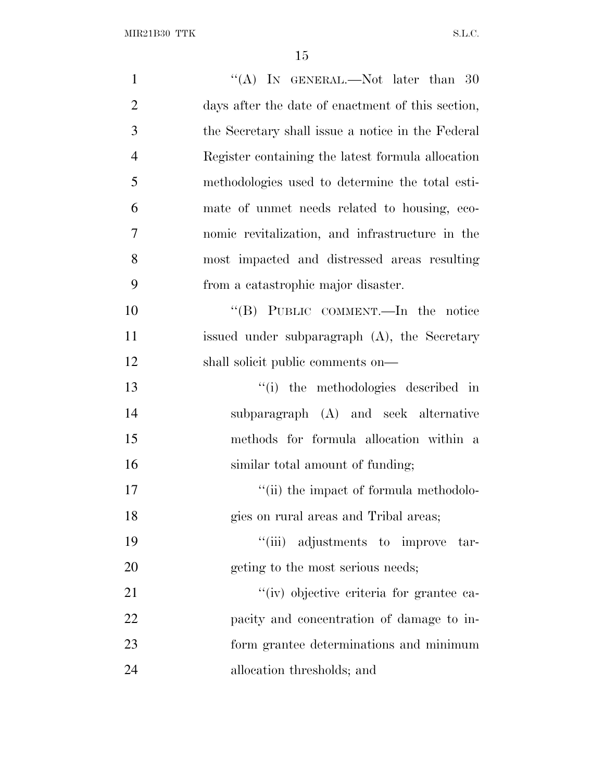| $\mathbf{1}$   | "(A) IN GENERAL.—Not later than $30$              |
|----------------|---------------------------------------------------|
| $\overline{2}$ | days after the date of enactment of this section, |
| 3              | the Secretary shall issue a notice in the Federal |
| $\overline{4}$ | Register containing the latest formula allocation |
| 5              | methodologies used to determine the total esti-   |
| 6              | mate of unmet needs related to housing, eco-      |
| 7              | nomic revitalization, and infrastructure in the   |
| 8              | most impacted and distressed areas resulting      |
| 9              | from a catastrophic major disaster.               |
| 10             | "(B) PUBLIC COMMENT.—In the notice                |
| 11             | issued under subparagraph (A), the Secretary      |
| 12             | shall solicit public comments on—                 |
| 13             | "(i) the methodologies described in               |
| 14             | subparagraph (A) and seek alternative             |
| 15             | methods for formula allocation within a           |
| 16             | similar total amount of funding;                  |
| 17             | "(ii) the impact of formula methodolo-            |
| 18             | gies on rural areas and Tribal areas;             |
| 19             | "(iii) adjustments to improve<br>tar-             |
| 20             | geting to the most serious needs;                 |
| 21             | "(iv) objective criteria for grantee ca-          |
| 22             | pacity and concentration of damage to in-         |
| 23             | form grantee determinations and minimum           |
| 24             | allocation thresholds; and                        |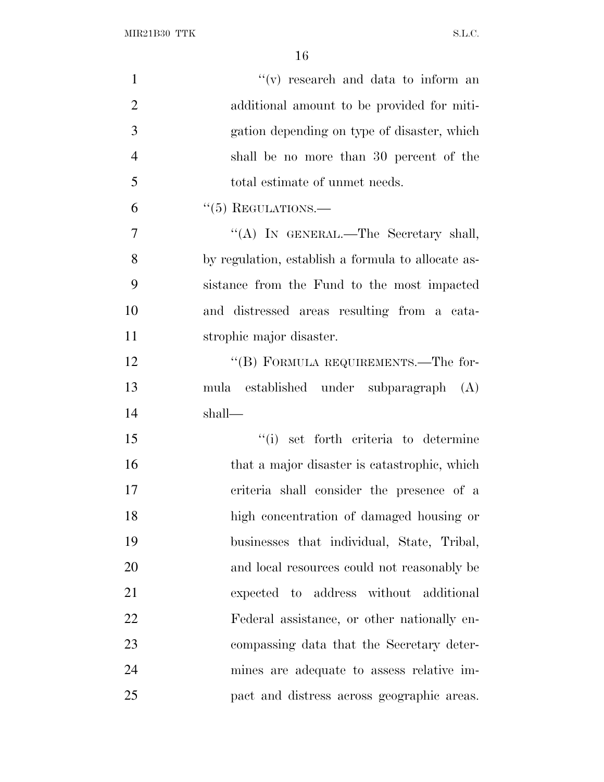$\rm MIR21B30~TTK \rm \hspace{20pt} SL.C.$ 

| $\mathbf{1}$   | $f'(v)$ research and data to inform an             |
|----------------|----------------------------------------------------|
| $\overline{2}$ | additional amount to be provided for miti-         |
| 3              | gation depending on type of disaster, which        |
| $\overline{4}$ | shall be no more than 30 percent of the            |
| 5              | total estimate of unmet needs.                     |
| 6              | $``(5)$ REGULATIONS.—                              |
| 7              | "(A) IN GENERAL.—The Secretary shall,              |
| 8              | by regulation, establish a formula to allocate as- |
| 9              | sistance from the Fund to the most impacted        |
| 10             | and distressed areas resulting from a cata-        |
| 11             | strophic major disaster.                           |
| 12             | "(B) FORMULA REQUIREMENTS.—The for-                |
| 13             | mula established under subparagraph (A)            |
| 14             | shall—                                             |
| 15             | "(i) set forth criteria to determine               |
| 16             | that a major disaster is catastrophic, which       |
| 17             | criteria shall consider the presence of a          |
| 18             | high concentration of damaged housing or           |
| 19             | businesses that individual, State, Tribal,         |
| 20             | and local resources could not reasonably be        |
| 21             | expected to address without additional             |
| 22             | Federal assistance, or other nationally en-        |
| 23             | compassing data that the Secretary deter-          |
| 24             | mines are adequate to assess relative im-          |
| 25             | pact and distress across geographic areas.         |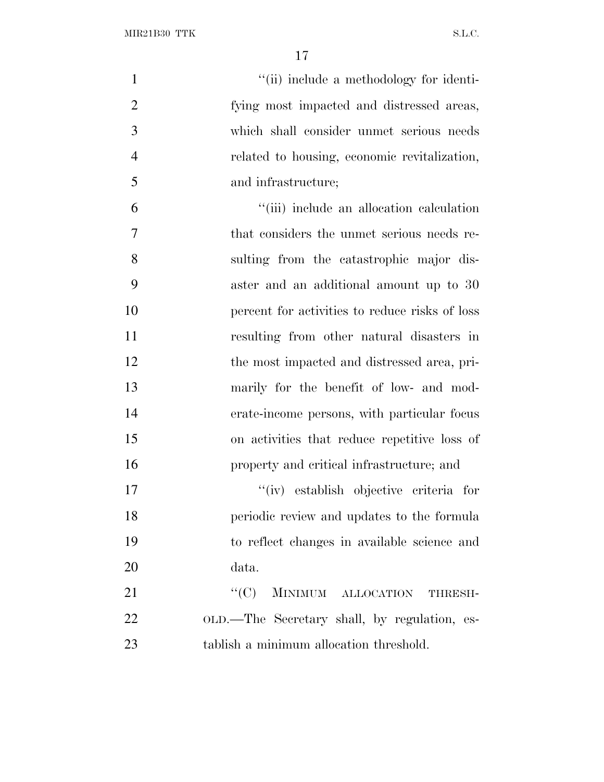| $\mathbf{1}$   | "(ii) include a methodology for identi-        |
|----------------|------------------------------------------------|
| $\overline{2}$ | fying most impacted and distressed areas,      |
| 3              | which shall consider unmet serious needs       |
| $\overline{4}$ | related to housing, economic revitalization,   |
| 5              | and infrastructure;                            |
| 6              | "(iii) include an allocation calculation       |
| $\overline{7}$ | that considers the unmet serious needs re-     |
| 8              | sulting from the catastrophic major dis-       |
| 9              | aster and an additional amount up to 30        |
| 10             | percent for activities to reduce risks of loss |
| 11             | resulting from other natural disasters in      |
| 12             | the most impacted and distressed area, pri-    |
| 13             | marily for the benefit of low- and mod-        |
| 14             | erate-income persons, with particular focus    |
| 15             | on activities that reduce repetitive loss of   |
| 16             | property and critical infrastructure; and      |
| 17             | "(iv) establish objective criteria for         |
| 18             | periodic review and updates to the formula     |
| 19             | to reflect changes in available science and    |
| 20             | data.                                          |
| 21             | ``(C)<br>MINIMUM ALLOCATION<br>THRESH-         |
| 22             | OLD.—The Secretary shall, by regulation, es-   |
| 23             | tablish a minimum allocation threshold.        |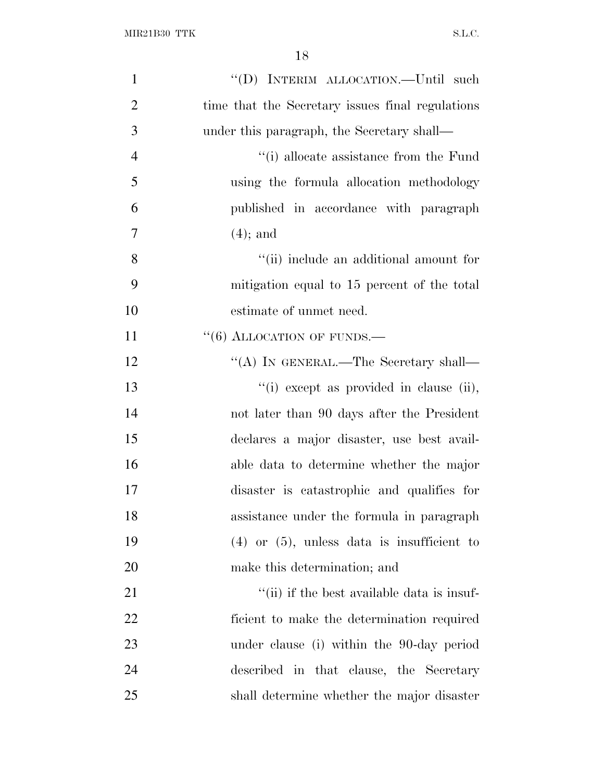| $\mathbf{1}$   |                                                  |
|----------------|--------------------------------------------------|
| $\overline{2}$ | time that the Secretary issues final regulations |
| 3              | under this paragraph, the Secretary shall—       |
| $\overline{4}$ | "(i) allocate assistance from the Fund           |
| 5              | using the formula allocation methodology         |
| 6              | published in accordance with paragraph           |
| 7              | $(4)$ ; and                                      |
| 8              | "(ii) include an additional amount for           |
| 9              | mitigation equal to 15 percent of the total      |
| 10             | estimate of unmet need.                          |
| 11             | $``(6)$ ALLOCATION OF FUNDS.—                    |
| 12             | "(A) IN GENERAL.—The Secretary shall—            |
| 13             | "(i) except as provided in clause (ii),          |
| 14             | not later than 90 days after the President       |
| 15             | declares a major disaster, use best avail-       |
| 16             | able data to determine whether the major         |
| 17             | disaster is catastrophic and qualifies for       |
| 18             | assistance under the formula in paragraph        |
| 19             | $(4)$ or $(5)$ , unless data is insufficient to  |
| 20             | make this determination; and                     |
| 21             | "(ii) if the best available data is insuf-       |
| 22             | ficient to make the determination required       |
| 23             | under clause (i) within the 90-day period        |
| 24             | described in that clause, the Secretary          |
| 25             | shall determine whether the major disaster       |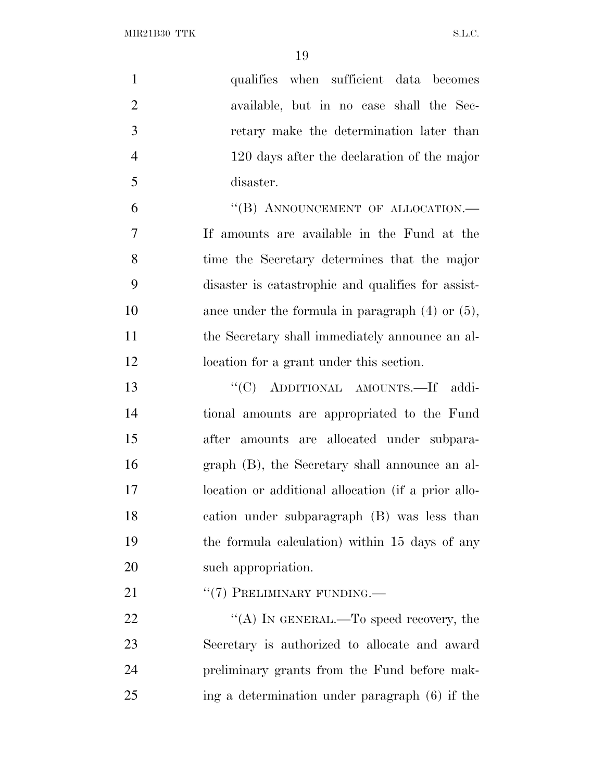$\rm MIR21B30~TTK \rm \hspace{20pt} SL.C.$ 

| $\mathbf{1}$   | qualifies when sufficient data becomes               |
|----------------|------------------------------------------------------|
| $\overline{2}$ | available, but in no case shall the Sec-             |
| 3              | retary make the determination later than             |
| $\overline{4}$ | 120 days after the declaration of the major          |
| 5              | disaster.                                            |
| 6              | "(B) ANNOUNCEMENT OF ALLOCATION.-                    |
| $\overline{7}$ | If amounts are available in the Fund at the          |
| 8              | time the Secretary determines that the major         |
| 9              | disaster is catastrophic and qualifies for assist-   |
| 10             | ance under the formula in paragraph $(4)$ or $(5)$ , |
| 11             | the Secretary shall immediately announce an al-      |
| 12             | location for a grant under this section.             |
| 13             | "(C) ADDITIONAL AMOUNTS. If addi-                    |
| 14             | tional amounts are appropriated to the Fund          |
| 15             | after amounts are allocated under subpara-           |
| 16             | graph (B), the Secretary shall announce an al-       |
| 17             | location or additional allocation (if a prior allo-  |
| 18             | cation under subparagraph (B) was less than          |
| 19             | the formula calculation) within 15 days of any       |
| 20             | such appropriation.                                  |
| 21             | "(7) PRELIMINARY FUNDING.                            |
| 22             | "(A) IN GENERAL.—To speed recovery, the              |
| 23             | Secretary is authorized to allocate and award        |
| 24             | preliminary grants from the Fund before mak-         |
| 25             | ing a determination under paragraph (6) if the       |
|                |                                                      |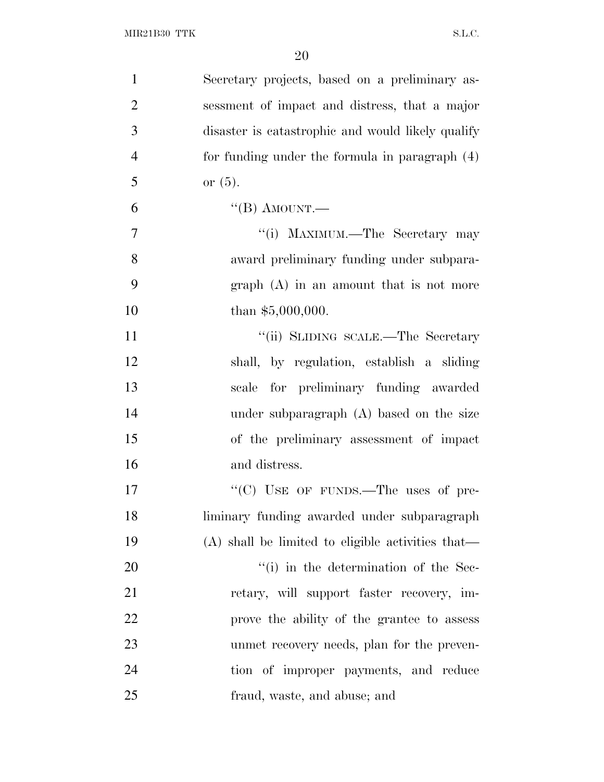| $\mathbf{1}$   | Secretary projects, based on a preliminary as-      |
|----------------|-----------------------------------------------------|
| $\overline{2}$ | sessment of impact and distress, that a major       |
| 3              | disaster is catastrophic and would likely qualify   |
| $\overline{4}$ | for funding under the formula in paragraph (4)      |
| 5              | or $(5)$ .                                          |
| 6              | $\lq\lq (B)$ AMOUNT.—                               |
| $\overline{7}$ | "(i) MAXIMUM.—The Secretary may                     |
| 8              | award preliminary funding under subpara-            |
| 9              | $graph(A)$ in an amount that is not more            |
| 10             | than $$5,000,000$ .                                 |
| 11             | "(ii) SLIDING SCALE.—The Secretary                  |
| 12             | shall, by regulation, establish a sliding           |
| 13             | scale for preliminary funding awarded               |
| 14             | under subparagraph (A) based on the size            |
| 15             | of the preliminary assessment of impact             |
| 16             | and distress.                                       |
| 17             | "(C) USE OF FUNDS.—The uses of pre-                 |
| 18             | liminary funding awarded under subparagraph         |
| 19             | $(A)$ shall be limited to eligible activities that— |
| 20             | $\lq\lq$ (i) in the determination of the Sec-       |
| 21             | retary, will support faster recovery, im-           |
| <u>22</u>      | prove the ability of the grantee to assess          |
| 23             | unmet recovery needs, plan for the preven-          |
| 24             | tion of improper payments, and reduce               |
| 25             | fraud, waste, and abuse; and                        |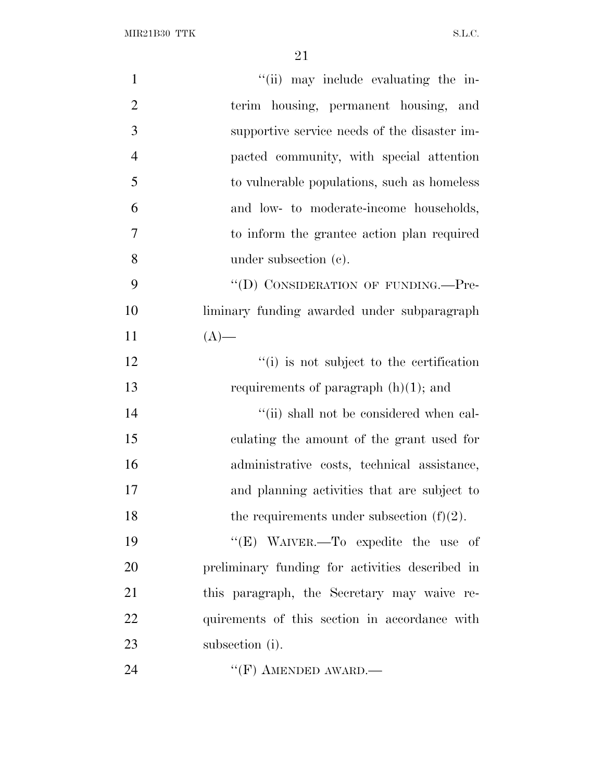$\rm MIR21B30~TTK \rm \qquad S.L.C.$ 

| $\mathbf{1}$   | "(ii) may include evaluating the in-            |
|----------------|-------------------------------------------------|
| $\overline{2}$ | terim housing, permanent housing, and           |
| 3              | supportive service needs of the disaster im-    |
| $\overline{4}$ | pacted community, with special attention        |
| 5              | to vulnerable populations, such as homeless     |
| 6              | and low- to moderate-income households,         |
| $\overline{7}$ | to inform the grantee action plan required      |
| 8              | under subsection (c).                           |
| 9              | "(D) CONSIDERATION OF FUNDING.—Pre-             |
| 10             | liminary funding awarded under subparagraph     |
| 11             | $(A)$ —                                         |
| 12             | "(i) is not subject to the certification        |
| 13             | requirements of paragraph $(h)(1)$ ; and        |
| 14             | "(ii) shall not be considered when cal-         |
| 15             | culating the amount of the grant used for       |
| 16             | administrative costs, technical assistance,     |
| 17             | and planning activities that are subject to     |
| 18             | the requirements under subsection $(f)(2)$ .    |
| 19             | "(E) WAIVER.—To expedite the use of             |
| 20             | preliminary funding for activities described in |
| 21             | this paragraph, the Secretary may waive re-     |
| 22             | quirements of this section in accordance with   |
| 23             | subsection (i).                                 |
| 24             | $``$ (F) AMENDED AWARD.—                        |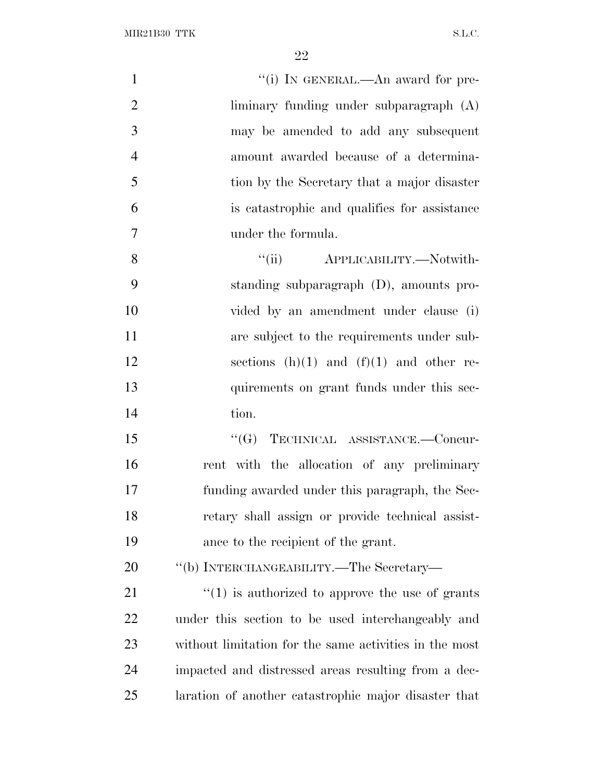| $\mathbf{1}$   | "(i) IN GENERAL.—An award for pre-                              |
|----------------|-----------------------------------------------------------------|
| $\overline{2}$ | liminary funding under subparagraph $(A)$                       |
| 3              | may be amended to add any subsequent                            |
| $\overline{4}$ | amount awarded because of a determina-                          |
| 5              | tion by the Secretary that a major disaster                     |
| 6              | is catastrophic and qualifies for assistance                    |
| $\overline{7}$ | under the formula.                                              |
| 8              | ``(ii)<br>APPLICABILITY.—Notwith-                               |
| 9              | standing subparagraph (D), amounts pro-                         |
| 10             | vided by an amendment under clause (i)                          |
| 11             | are subject to the requirements under sub-                      |
| 12             | sections $(h)(1)$ and $(f)(1)$ and other re-                    |
| 13             | quirements on grant funds under this sec-                       |
| 14             | tion.                                                           |
| 15             | TECHNICAL ASSISTANCE.-Concur-<br>``(G)                          |
| 16             | rent with the allocation of any preliminary                     |
| 17             | funding awarded under this paragraph, the Sec-                  |
| 18             | retary shall assign or provide technical assist-                |
| 19             | ance to the recipient of the grant.                             |
| 20             | "(b) INTERCHANGEABILITY.—The Secretary—                         |
| 21             | $\cdot\cdot\cdot(1)$ is authorized to approve the use of grants |
| 22             | under this section to be used interchangeably and               |
| 23             | without limitation for the same activities in the most          |
| 24             | impacted and distressed areas resulting from a dec-             |
| 25             | laration of another catastrophic major disaster that            |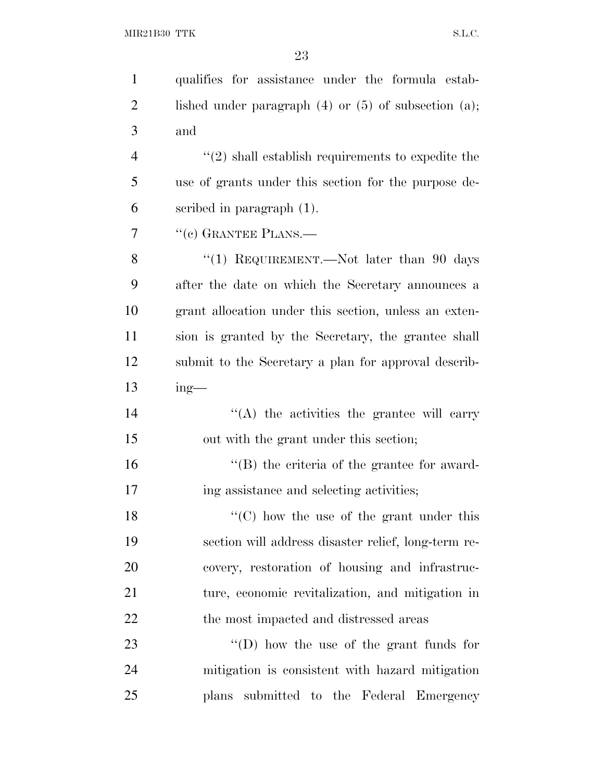| $\mathbf{1}$   | qualifies for assistance under the formula estab-           |
|----------------|-------------------------------------------------------------|
| $\overline{2}$ | lished under paragraph $(4)$ or $(5)$ of subsection $(a)$ ; |
| 3              | and                                                         |
| $\overline{4}$ | $"(2)$ shall establish requirements to expedite the         |
| 5              | use of grants under this section for the purpose de-        |
| 6              | scribed in paragraph $(1)$ .                                |
| 7              | $``(e)$ GRANTEE PLANS.—                                     |
| 8              | "(1) REQUIREMENT.—Not later than 90 days                    |
| 9              | after the date on which the Secretary announces a           |
| 10             | grant allocation under this section, unless an exten-       |
| 11             | sion is granted by the Secretary, the grantee shall         |
| 12             | submit to the Secretary a plan for approval describ-        |
| 13             | $ing$ —                                                     |
| 14             | $\lq\lq$ the activities the grantee will carry              |
| 15             | out with the grant under this section;                      |
| 16             | $\lq\lq$ the criteria of the grantee for award-             |
| 17             | ing assistance and selecting activities;                    |
| 18             | $\lq\lq$ (C) how the use of the grant under this            |
| 19             | section will address disaster relief, long-term re-         |
| 20             | covery, restoration of housing and infrastruc-              |
| 21             | ture, economic revitalization, and mitigation in            |
| 22             | the most impacted and distressed areas                      |
| 23             | $\lq\lq$ (D) how the use of the grant funds for             |
| 24             | mitigation is consistent with hazard mitigation             |
| 25             | plans submitted to the Federal Emergency                    |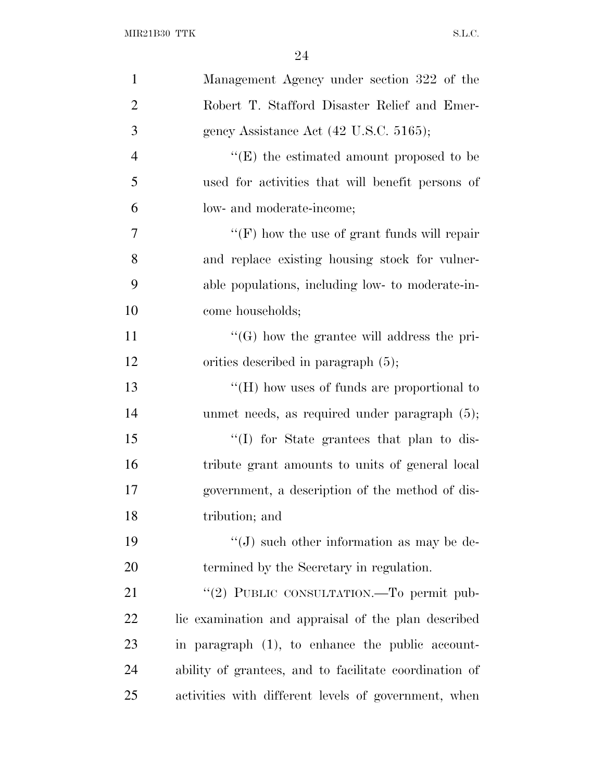| $\mathbf{1}$   | Management Agency under section 322 of the             |
|----------------|--------------------------------------------------------|
| $\overline{2}$ | Robert T. Stafford Disaster Relief and Emer-           |
| 3              | gency Assistance Act (42 U.S.C. 5165);                 |
| $\overline{4}$ | $\lq\lq(E)$ the estimated amount proposed to be        |
| 5              | used for activities that will benefit persons of       |
| 6              | low- and moderate-income;                              |
| $\overline{7}$ | "(F) how the use of grant funds will repair            |
| 8              | and replace existing housing stock for vulner-         |
| 9              | able populations, including low- to moderate-in-       |
| 10             | come households;                                       |
| 11             | $\lq\lq(G)$ how the grantee will address the pri-      |
| 12             | orities described in paragraph $(5)$ ;                 |
| 13             | "(H) how uses of funds are proportional to             |
| 14             | unmet needs, as required under paragraph $(5)$ ;       |
| 15             | "(I) for State grantees that plan to dis-              |
| 16             | tribute grant amounts to units of general local        |
| 17             | government, a description of the method of dis-        |
| 18             | tribution; and                                         |
| 19             | $\lq\lq(J)$ such other information as may be de-       |
| <b>20</b>      | termined by the Secretary in regulation.               |
| 21             | "(2) PUBLIC CONSULTATION.—To permit pub-               |
| <u>22</u>      | lic examination and appraisal of the plan described    |
| 23             | in paragraph (1), to enhance the public account-       |
| 24             | ability of grantees, and to facilitate coordination of |
| 25             | activities with different levels of government, when   |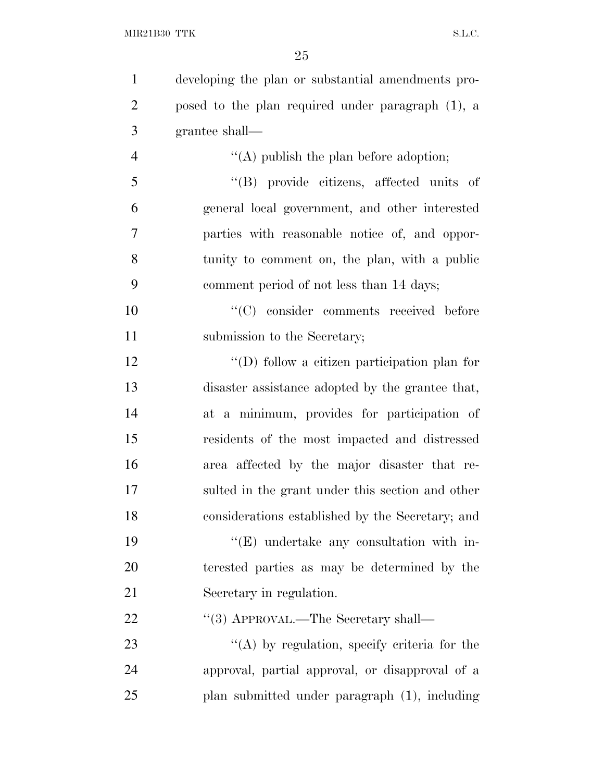| $\mathbf{1}$   | developing the plan or substantial amendments pro- |
|----------------|----------------------------------------------------|
| $\overline{2}$ | posed to the plan required under paragraph (1), a  |
| 3              | grantee shall—                                     |
| $\overline{4}$ | "(A) publish the plan before adoption;             |
| 5              | "(B) provide citizens, affected units of           |
| 6              | general local government, and other interested     |
| 7              | parties with reasonable notice of, and oppor-      |
| 8              | tunity to comment on, the plan, with a public      |
| 9              | comment period of not less than 14 days;           |
| 10             | "(C) consider comments received before             |
| 11             | submission to the Secretary;                       |
| 12             | "(D) follow a citizen participation plan for       |
| 13             | disaster assistance adopted by the grantee that,   |
| 14             | at a minimum, provides for participation of        |
| 15             | residents of the most impacted and distressed      |
| 16             | area affected by the major disaster that re-       |
| 17             | sulted in the grant under this section and other   |
| 18             | considerations established by the Secretary; and   |
| 19             | $\lq\lq(E)$ undertake any consultation with in-    |
| 20             | terested parties as may be determined by the       |
| 21             | Secretary in regulation.                           |
| 22             | "(3) APPROVAL.—The Secretary shall—                |
| 23             | $\lq\lq$ by regulation, specify criteria for the   |
| 24             | approval, partial approval, or disapproval of a    |
| 25             | plan submitted under paragraph (1), including      |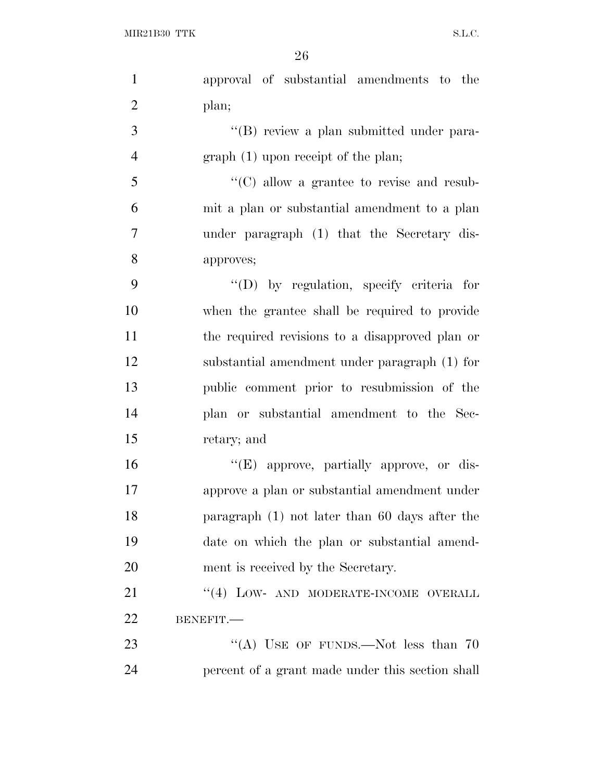| $\mathbf{1}$   | approval of substantial amendments to the        |
|----------------|--------------------------------------------------|
| $\overline{2}$ | plan;                                            |
| 3              | "(B) review a plan submitted under para-         |
| $\overline{4}$ | $graph(1)$ upon receipt of the plan;             |
| 5              | "(C) allow a grantee to revise and resub-        |
| 6              | mit a plan or substantial amendment to a plan    |
| 7              | under paragraph (1) that the Secretary dis-      |
| 8              | approves;                                        |
| 9              | "(D) by regulation, specify criteria for         |
| 10             | when the grantee shall be required to provide    |
| 11             | the required revisions to a disapproved plan or  |
| 12             | substantial amendment under paragraph (1) for    |
| 13             | public comment prior to resubmission of the      |
| 14             | plan or substantial amendment to the Sec-        |
| 15             | retary; and                                      |
| 16             | $\lq\lq(E)$ approve, partially approve, or dis-  |
| 17             | approve a plan or substantial amendment under    |
| 18             | paragraph $(1)$ not later than 60 days after the |
| 19             | date on which the plan or substantial amend-     |
| 20             | ment is received by the Secretary.               |
| 21             | "(4) LOW- AND MODERATE-INCOME OVERALL            |
| 22             | BENEFIT.                                         |
| 23             | "(A) USE OF FUNDS.—Not less than $70$            |
| 24             | percent of a grant made under this section shall |
|                |                                                  |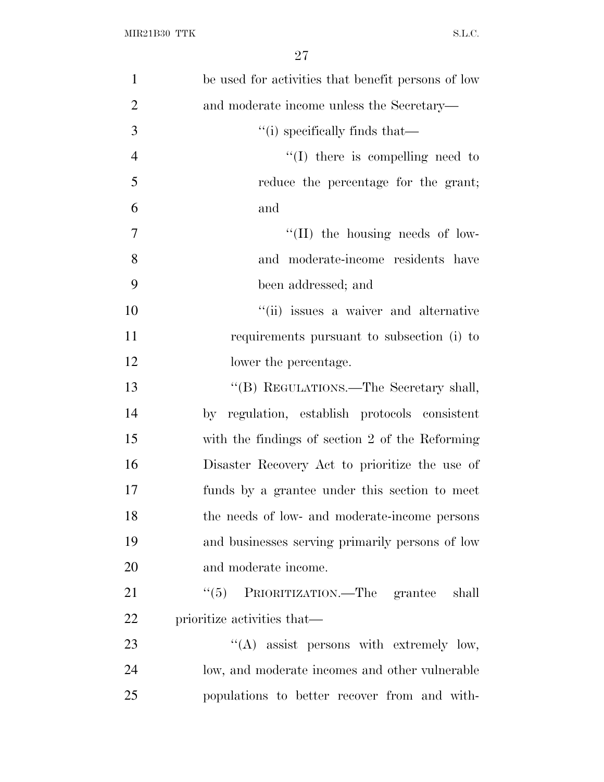| $\mathbf{1}$   | be used for activities that benefit persons of low |
|----------------|----------------------------------------------------|
| $\overline{2}$ | and moderate income unless the Secretary—          |
| 3              | "(i) specifically finds that—                      |
| $\overline{4}$ | $\lq\lq$ (I) there is compelling need to           |
| 5              | reduce the percentage for the grant;               |
| 6              | and                                                |
| 7              | $\lq\lq$ (II) the housing needs of low-            |
| 8              | and moderate-income residents have                 |
| 9              | been addressed; and                                |
| 10             | "(ii) issues a waiver and alternative              |
| 11             | requirements pursuant to subsection (i) to         |
| 12             | lower the percentage.                              |
| 13             | "(B) REGULATIONS.—The Secretary shall,             |
| 14             | by regulation, establish protocols consistent      |
| 15             | with the findings of section 2 of the Reforming    |
| 16             | Disaster Recovery Act to prioritize the use of     |
| 17             | funds by a grantee under this section to meet      |
| 18             | the needs of low- and moderate-income persons      |
| 19             | and businesses serving primarily persons of low    |
| 20             | and moderate income.                               |
| 21             | "(5) PRIORITIZATION.—The grantee shall             |
| 22             | prioritize activities that—                        |
| 23             | $\lq\lq$ assist persons with extremely low,        |
| 24             | low, and moderate incomes and other vulnerable     |
| 25             | populations to better recover from and with-       |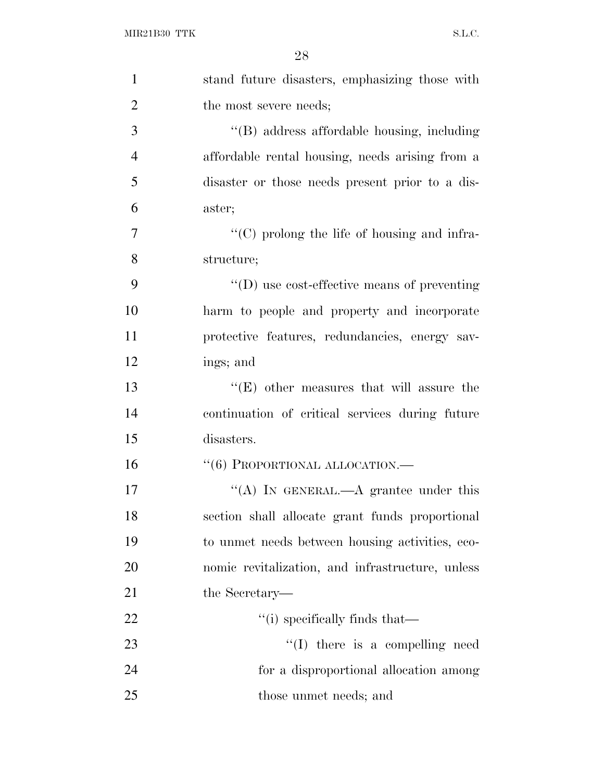| $\mathbf{1}$   | stand future disasters, emphasizing those with   |
|----------------|--------------------------------------------------|
| $\overline{2}$ | the most severe needs;                           |
| 3              | "(B) address affordable housing, including       |
| $\overline{4}$ | affordable rental housing, needs arising from a  |
| 5              | disaster or those needs present prior to a dis-  |
| 6              | aster;                                           |
| 7              | "(C) prolong the life of housing and infra-      |
| 8              | structure;                                       |
| 9              | $\lq\lq$ use cost-effective means of preventing  |
| 10             | harm to people and property and incorporate      |
| 11             | protective features, redundancies, energy sav-   |
| 12             | ings; and                                        |
| 13             | $\lq\lq(E)$ other measures that will assure the  |
| 14             | continuation of critical services during future  |
| 15             | disasters.                                       |
| 16             | $``(6)$ PROPORTIONAL ALLOCATION.—                |
| 17             | "(A) IN GENERAL.—A grantee under this            |
| 18             | section shall allocate grant funds proportional  |
| 19             | to unmet needs between housing activities, eco-  |
| 20             | nomic revitalization, and infrastructure, unless |
| 21             | the Secretary—                                   |
| 22             | "(i) specifically finds that—                    |
| 23             | "(I) there is a compelling need                  |
| 24             | for a disproportional allocation among           |
| 25             | those unmet needs; and                           |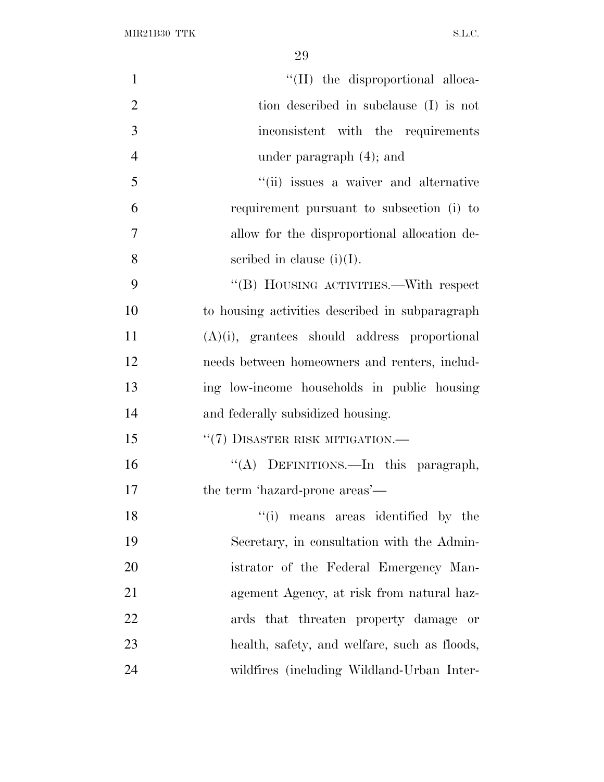$\rm MIR21B30~TTK \rm \qquad \qquad S.L.C.$ 

| $\mathbf{1}$   | "(II) the disproportional alloca-               |
|----------------|-------------------------------------------------|
| $\overline{2}$ | tion described in subclause (I) is not          |
| 3              | inconsistent with the requirements              |
| $\overline{4}$ | under paragraph $(4)$ ; and                     |
| 5              | "(ii) issues a waiver and alternative           |
| 6              | requirement pursuant to subsection (i) to       |
| $\overline{7}$ | allow for the disproportional allocation de-    |
| 8              | scribed in clause $(i)(I)$ .                    |
| 9              | "(B) HOUSING ACTIVITIES.—With respect           |
| 10             | to housing activities described in subparagraph |
| 11             | $(A)(i)$ , grantees should address proportional |
| 12             | needs between homeowners and renters, includ-   |
| 13             | ing low-income households in public housing     |
| 14             | and federally subsidized housing.               |
| 15             | "(7) DISASTER RISK MITIGATION.—                 |
| 16             | "(A) DEFINITIONS.—In this paragraph,            |
| 17             | the term 'hazard-prone areas'—                  |
| 18             | "(i) means areas identified by the              |
| 19             | Secretary, in consultation with the Admin-      |
| 20             | istrator of the Federal Emergency Man-          |
| 21             | agement Agency, at risk from natural haz-       |
| 22             | ards that threaten property damage or           |
| 23             | health, safety, and welfare, such as floods,    |
| 24             | wildfires (including Wildland-Urban Inter-      |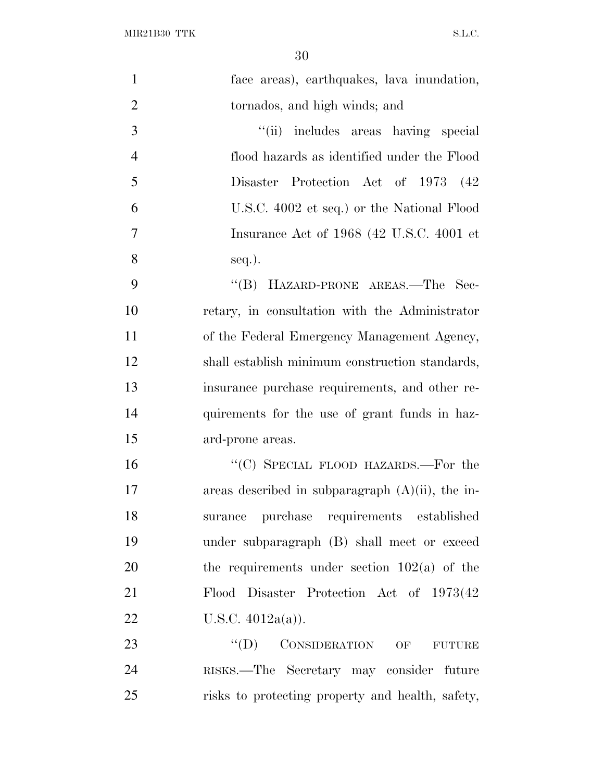$\rm MIR21B30~TTK \rm \hspace{20pt} SL.C.$ 

| $\mathbf{1}$   | face areas), earthquakes, lava inundation,          |
|----------------|-----------------------------------------------------|
| $\overline{2}$ | tornados, and high winds; and                       |
| 3              | "(ii) includes areas having special                 |
| $\overline{4}$ | flood hazards as identified under the Flood         |
| 5              | Disaster Protection Act of 1973 (42)                |
| 6              | U.S.C. 4002 et seq.) or the National Flood          |
| $\overline{7}$ | Insurance Act of 1968 (42 U.S.C. 4001 et            |
| 8              | $seq.$ ).                                           |
| 9              | "(B) HAZARD-PRONE AREAS.—The Sec-                   |
| 10             | retary, in consultation with the Administrator      |
| 11             | of the Federal Emergency Management Agency,         |
| 12             | shall establish minimum construction standards,     |
| 13             | insurance purchase requirements, and other re-      |
| 14             | quirements for the use of grant funds in haz-       |
| 15             | ard-prone areas.                                    |
| 16             | "(C) SPECIAL FLOOD HAZARDS.—For the                 |
| 17             | areas described in subparagraph $(A)(ii)$ , the in- |
| 18             | surance purchase requirements established           |
| 19             | under subparagraph (B) shall meet or exceed         |
| 20             | the requirements under section $102(a)$ of the      |
| 21             | Flood Disaster Protection Act of 1973(42)           |
| 22             | U.S.C. $4012a(a)$ ).                                |
| 23             | $\lq\lq$ (D) CONSIDERATION OF<br><b>FUTURE</b>      |
| 24             | RISKS.—The Secretary may consider future            |
| 25             | risks to protecting property and health, safety,    |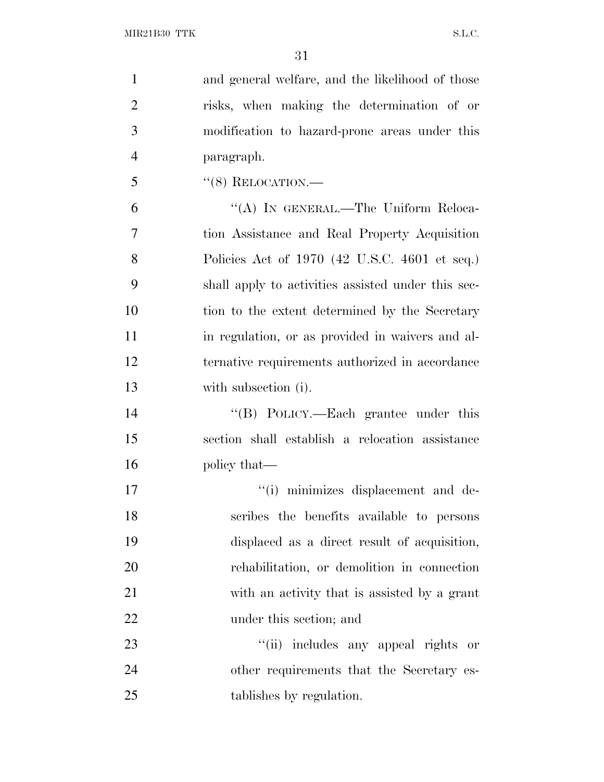| 1              | and general welfare, and the likelihood of those   |
|----------------|----------------------------------------------------|
| $\overline{2}$ | risks, when making the determination of or         |
| 3              | modification to hazard-prone areas under this      |
| $\overline{4}$ | paragraph.                                         |
| 5              | $``(8)$ RELOCATION.—                               |
| 6              | "(A) IN GENERAL.—The Uniform Reloca-               |
| 7              | tion Assistance and Real Property Acquisition      |
| 8              | Policies Act of 1970 (42 U.S.C. 4601 et seq.)      |
| 9              | shall apply to activities assisted under this sec- |
| 10             | tion to the extent determined by the Secretary     |
| 11             | in regulation, or as provided in waivers and al-   |
| 12             | ternative requirements authorized in accordance    |
| 13             | with subsection (i).                               |
| 14             | "(B) POLICY.—Each grantee under this               |
| 15             | section shall establish a relocation assistance    |
| 16             | policy that—                                       |
| 17             | "(i) minimizes displacement and de-                |
| 18             | scribes the benefits available to persons          |
| 19             | displaced as a direct result of acquisition,       |
| 20             | rehabilitation, or demolition in connection        |
| 21             | with an activity that is assisted by a grant       |
| 22             | under this section; and                            |
| 23             | includes any appeal rights or<br>``(ii)            |
| 24             | other requirements that the Secretary es-          |
| 25             | tablishes by regulation.                           |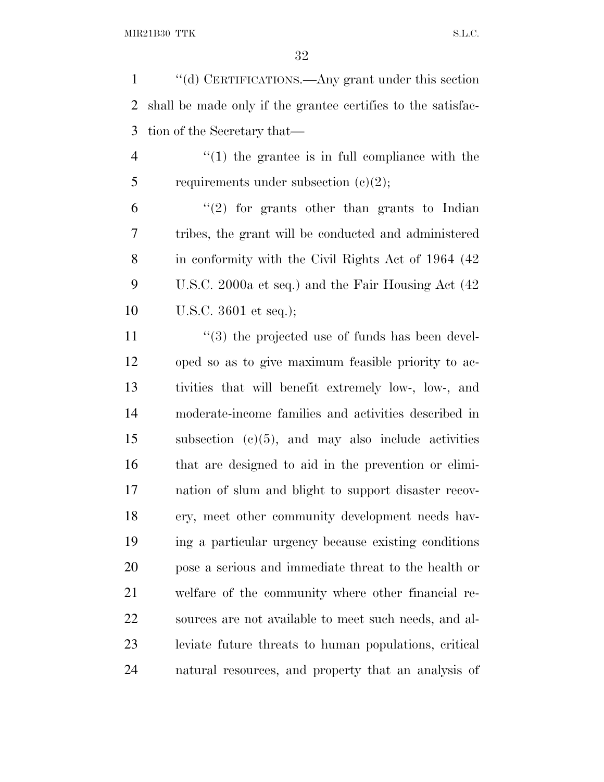''(d) CERTIFICATIONS.—Any grant under this section shall be made only if the grantee certifies to the satisfac-tion of the Secretary that—

 ''(1) the grantee is in full compliance with the 5 requirements under subsection  $(c)(2)$ ;

 "(2) for grants other than grants to Indian tribes, the grant will be conducted and administered in conformity with the Civil Rights Act of 1964 (42 U.S.C. 2000a et seq.) and the Fair Housing Act (42 U.S.C. 3601 et seq.);

11 ''(3) the projected use of funds has been devel- oped so as to give maximum feasible priority to ac- tivities that will benefit extremely low-, low-, and moderate-income families and activities described in subsection (c)(5), and may also include activities that are designed to aid in the prevention or elimi- nation of slum and blight to support disaster recov- ery, meet other community development needs hav- ing a particular urgency because existing conditions pose a serious and immediate threat to the health or welfare of the community where other financial re- sources are not available to meet such needs, and al- leviate future threats to human populations, critical natural resources, and property that an analysis of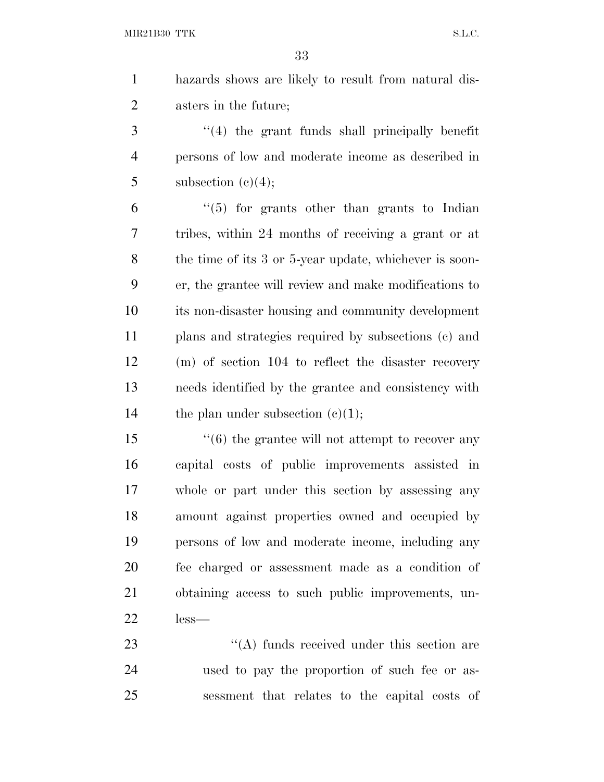MIR21B30 TTK S.L.C.

 hazards shows are likely to result from natural dis-asters in the future;

 ''(4) the grant funds shall principally benefit persons of low and moderate income as described in 5 subsection  $(e)(4)$ ;

 "(5) for grants other than grants to Indian tribes, within 24 months of receiving a grant or at the time of its 3 or 5-year update, whichever is soon- er, the grantee will review and make modifications to its non-disaster housing and community development plans and strategies required by subsections (c) and (m) of section 104 to reflect the disaster recovery needs identified by the grantee and consistency with 14 the plan under subsection  $(c)(1)$ ;

15 ''(6) the grantee will not attempt to recover any capital costs of public improvements assisted in whole or part under this section by assessing any amount against properties owned and occupied by persons of low and moderate income, including any fee charged or assessment made as a condition of obtaining access to such public improvements, un-less—

23 ''(A) funds received under this section are used to pay the proportion of such fee or as-sessment that relates to the capital costs of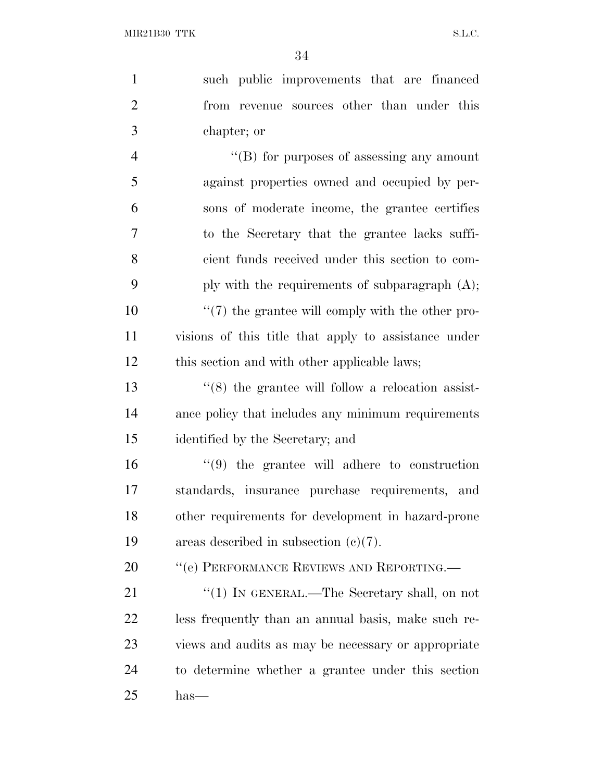such public improvements that are financed from revenue sources other than under this chapter; or  $\langle$  (B) for purposes of assessing any amount against properties owned and occupied by per- sons of moderate income, the grantee certifies to the Secretary that the grantee lacks suffi- cient funds received under this section to com-9 ply with the requirements of subparagraph  $(A)$ ;  $\frac{10}{2}$  (7) the grantee will comply with the other pro- visions of this title that apply to assistance under this section and with other applicable laws; 13 ''(8) the grantee will follow a relocation assist- ance policy that includes any minimum requirements identified by the Secretary; and ''(9) the grantee will adhere to construction standards, insurance purchase requirements, and other requirements for development in hazard-prone areas described in subsection (c)(7). 20 "(e) PERFORMANCE REVIEWS AND REPORTING.— 21 "(1) IN GENERAL.—The Secretary shall, on not less frequently than an annual basis, make such re- views and audits as may be necessary or appropriate to determine whether a grantee under this section has—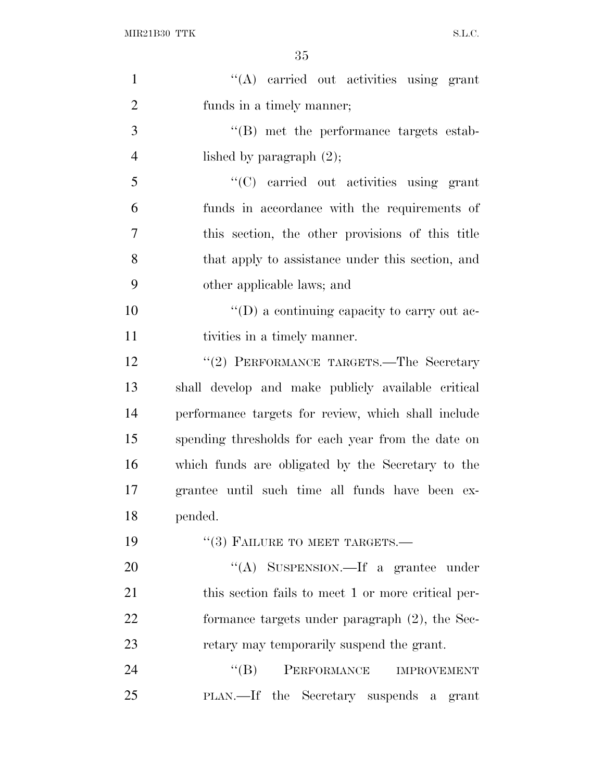| $\mathbf{1}$   | "(A) carried out activities using grant             |
|----------------|-----------------------------------------------------|
| $\overline{2}$ | funds in a timely manner;                           |
| 3              | $\lq\lq$ met the performance targets estab-         |
| $\overline{4}$ | lished by paragraph $(2)$ ;                         |
| 5              | $\cdot$ (C) carried out activities using grant      |
| 6              | funds in accordance with the requirements of        |
| $\tau$         | this section, the other provisions of this title    |
| 8              | that apply to assistance under this section, and    |
| 9              | other applicable laws; and                          |
| 10             | $\lq\lq$ a continuing capacity to carry out ac-     |
| 11             | tivities in a timely manner.                        |
| 12             | "(2) PERFORMANCE TARGETS.—The Secretary             |
| 13             | shall develop and make publicly available critical  |
| 14             | performance targets for review, which shall include |
| 15             | spending thresholds for each year from the date on  |
| 16             | which funds are obligated by the Secretary to the   |
| 17             | grantee until such time all funds have been ex-     |
| 18             | pended.                                             |
| 19             | $``(3)$ FAILURE TO MEET TARGETS.—                   |
| 20             | "(A) SUSPENSION.—If a grantee under                 |
| 21             | this section fails to meet 1 or more critical per-  |
| 22             | formance targets under paragraph $(2)$ , the Sec-   |
| 23             | retary may temporarily suspend the grant.           |
| 24             | PERFORMANCE<br>$\lq\lq (B)$<br><b>IMPROVEMENT</b>   |
| 25             | PLAN.—If the Secretary suspends a grant             |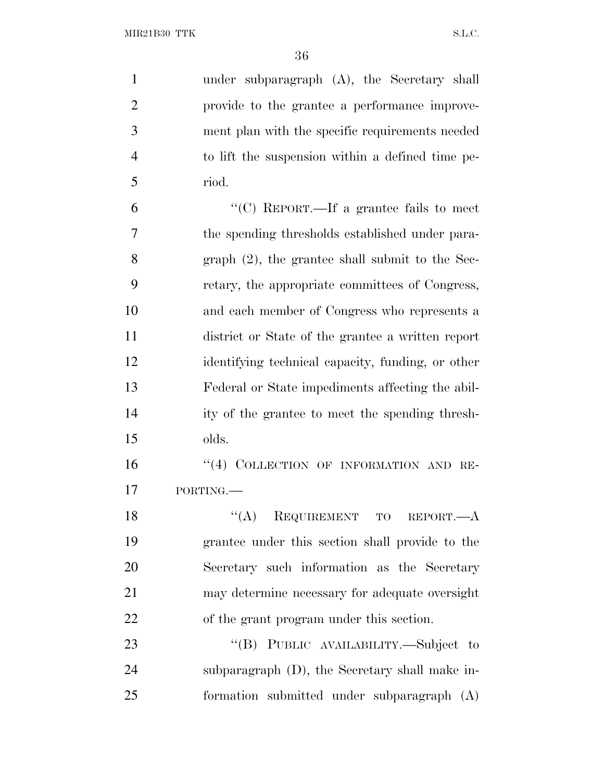| $\mathbf{1}$   | under subparagraph (A), the Secretary shall        |
|----------------|----------------------------------------------------|
| $\overline{2}$ | provide to the grantee a performance improve-      |
| 3              | ment plan with the specific requirements needed    |
| $\overline{4}$ | to lift the suspension within a defined time pe-   |
| 5              | riod.                                              |
| 6              | "(C) REPORT.—If a grantee fails to meet            |
| 7              | the spending thresholds established under para-    |
| 8              | graph $(2)$ , the grantee shall submit to the Sec- |
| 9              | retary, the appropriate committees of Congress,    |
| 10             | and each member of Congress who represents a       |
| 11             | district or State of the grantee a written report  |
| 12             | identifying technical capacity, funding, or other  |
| 13             | Federal or State impediments affecting the abil-   |
| 14             | ity of the grantee to meet the spending thresh-    |
| 15             | olds.                                              |
| 16             | "(4) COLLECTION OF INFORMATION AND RE-             |
| 17             | PORTING.                                           |
| 18             | ``(A)<br>REQUIREMENT TO REPORT.—A                  |
| 19             | grantee under this section shall provide to the    |
| 20             | Secretary such information as the Secretary        |
| 21             | may determine necessary for adequate oversight     |
| 22             | of the grant program under this section.           |
| 23             | "(B) PUBLIC AVAILABILITY.—Subject to               |
| 24             | subparagraph (D), the Secretary shall make in-     |
| 25             | formation submitted under subparagraph (A)         |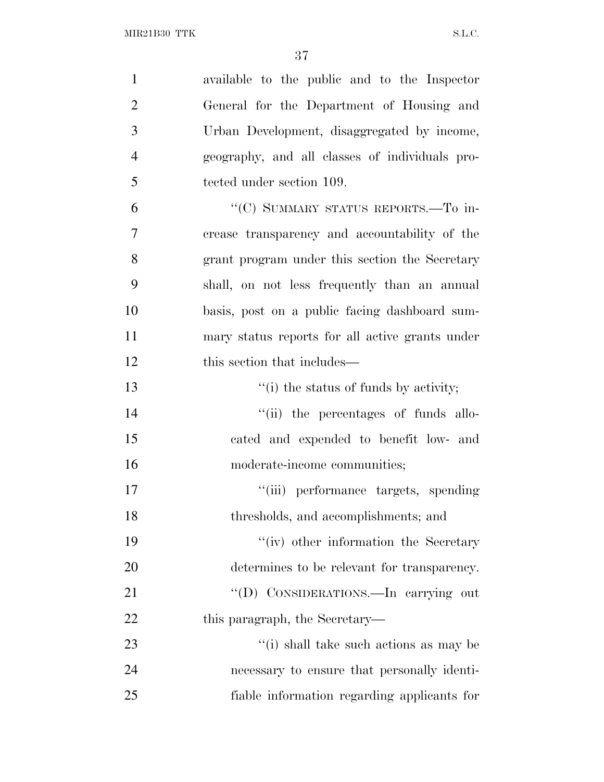| $\mathbf{1}$   | available to the public and to the Inspector    |
|----------------|-------------------------------------------------|
| $\overline{2}$ | General for the Department of Housing and       |
| 3              | Urban Development, disaggregated by income,     |
| $\overline{4}$ | geography, and all classes of individuals pro-  |
| 5              | tected under section 109.                       |
| 6              | "(C) SUMMARY STATUS REPORTS.—To in-             |
| 7              | crease transparency and accountability of the   |
| 8              | grant program under this section the Secretary  |
| 9              | shall, on not less frequently than an annual    |
| 10             | basis, post on a public facing dashboard sum-   |
| 11             | mary status reports for all active grants under |
| 12             | this section that includes—                     |
| 13             | "(i) the status of funds by activity;           |
| 14             | "(ii) the percentages of funds allo-            |
| 15             | cated and expended to benefit low- and          |
| 16             | moderate-income communities;                    |
| 17             | "(iii) performance targets, spending            |
| 18             | thresholds, and accomplishments; and            |
| 19             | "(iv) other information the Secretary           |
| 20             | determines to be relevant for transparency.     |
| 21             | "(D) CONSIDERATIONS.—In carrying out            |
| 22             | this paragraph, the Secretary—                  |
| 23             | "(i) shall take such actions as may be          |
| 24             | necessary to ensure that personally identi-     |
| 25             | fiable information regarding applicants for     |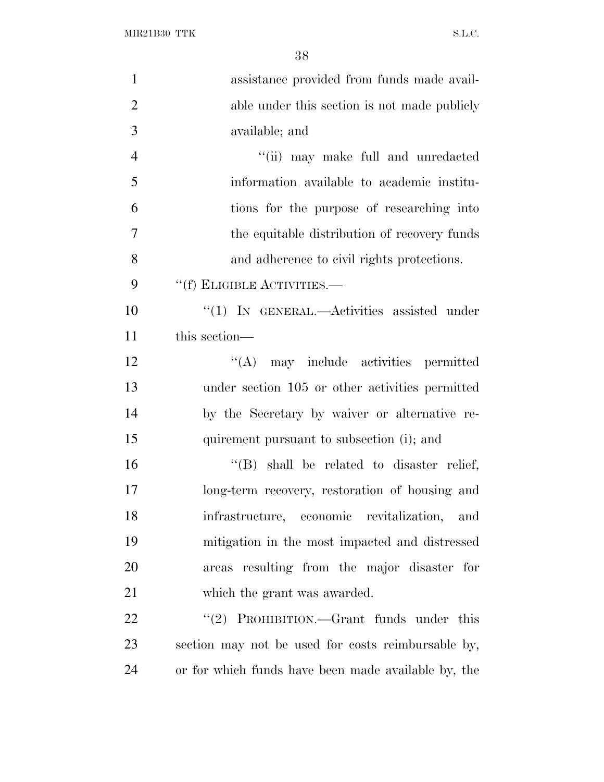$\rm MIR21B30~TTK \rm \hspace{20pt} SL.C.$ 

| $\mathbf{1}$   | assistance provided from funds made avail-          |
|----------------|-----------------------------------------------------|
| $\overline{2}$ | able under this section is not made publicly        |
| 3              | available; and                                      |
| $\overline{4}$ | "(ii) may make full and unredacted                  |
| 5              | information available to academic institu-          |
| 6              | tions for the purpose of researching into           |
| $\overline{7}$ | the equitable distribution of recovery funds        |
| 8              | and adherence to civil rights protections.          |
| 9              | "(f) ELIGIBLE ACTIVITIES.—                          |
| 10             | $\lq(1)$ In GENERAL.—Activities assisted under      |
| 11             | this section—                                       |
| 12             | "(A) may include activities permitted               |
| 13             | under section 105 or other activities permitted     |
| 14             | by the Secretary by waiver or alternative re-       |
| 15             | quirement pursuant to subsection (i); and           |
| 16             | $\lq\lq$ (B) shall be related to disaster relief,   |
| 17             | long-term recovery, restoration of housing and      |
| 18             | infrastructure, economic revitalization,<br>and     |
| 19             | mitigation in the most impacted and distressed      |
| 20             | areas resulting from the major disaster for         |
| 21             | which the grant was awarded.                        |
| 22             | PROHIBITION.—Grant funds under this<br>(2)          |
| 23             | section may not be used for costs reimbursable by,  |
| 24             | or for which funds have been made available by, the |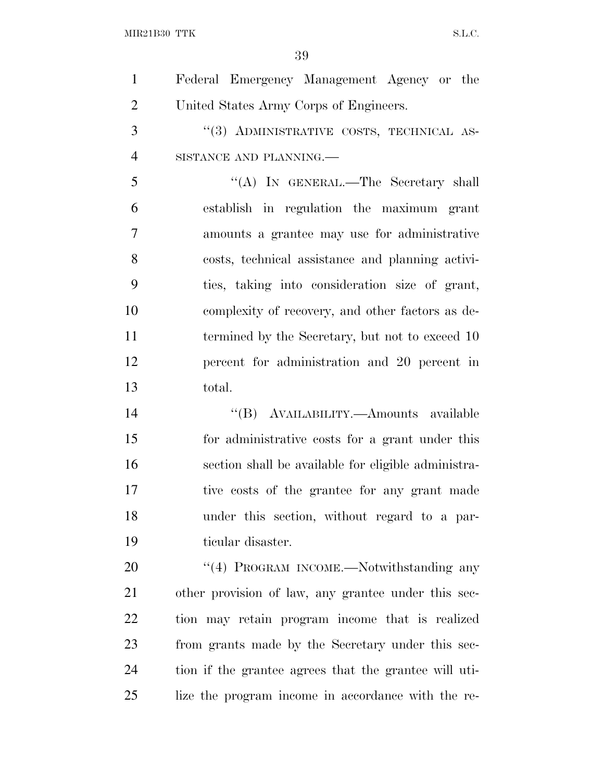$\rm MIR21B30~TTK \rm \hspace{20pt} SL.C.$ 

| $\mathbf{1}$   | Federal Emergency Management Agency or the            |
|----------------|-------------------------------------------------------|
| $\overline{2}$ | United States Army Corps of Engineers.                |
| 3              | "(3) ADMINISTRATIVE COSTS, TECHNICAL AS-              |
| $\overline{4}$ | SISTANCE AND PLANNING.                                |
| 5              | "(A) IN GENERAL.—The Secretary shall                  |
| 6              | establish in regulation the maximum grant             |
| $\overline{7}$ | amounts a grantee may use for administrative          |
| 8              | costs, technical assistance and planning activi-      |
| 9              | ties, taking into consideration size of grant,        |
| 10             | complexity of recovery, and other factors as de-      |
| 11             | termined by the Secretary, but not to exceed 10       |
| 12             | percent for administration and 20 percent in          |
| 13             | total.                                                |
| 14             | "(B) AVAILABILITY.—Amounts available                  |
| 15             | for administrative costs for a grant under this       |
| 16             | section shall be available for eligible administra-   |
| 17             | tive costs of the grantee for any grant made          |
| 18             | under this section, without regard to a par-          |
| 19             | ticular disaster.                                     |
| 20             | "(4) PROGRAM INCOME.—Notwithstanding any              |
| 21             | other provision of law, any grantee under this sec-   |
| 22             | tion may retain program income that is realized       |
| 23             | from grants made by the Secretary under this sec-     |
| 24             | tion if the grantee agrees that the grantee will uti- |
| 25             | lize the program income in accordance with the re-    |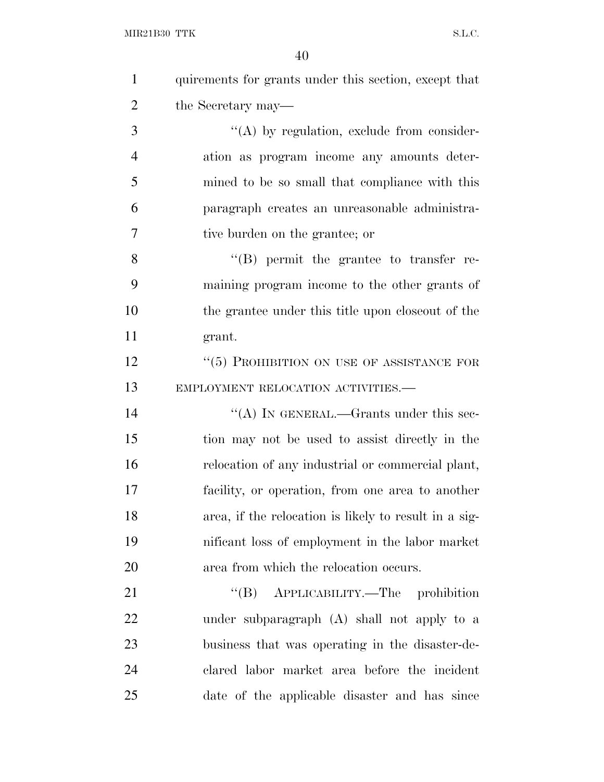| $\mathbf{1}$   | quirements for grants under this section, except that |
|----------------|-------------------------------------------------------|
| $\overline{2}$ | the Secretary may—                                    |
| 3              | $\lq\lq$ by regulation, exclude from consider-        |
| $\overline{4}$ | ation as program income any amounts deter-            |
| 5              | mined to be so small that compliance with this        |
| 6              | paragraph creates an unreasonable administra-         |
| 7              | tive burden on the grantee; or                        |
| 8              | $\lq\lq (B)$ permit the grantee to transfer re-       |
| 9              | maining program income to the other grants of         |
| 10             | the grantee under this title upon close out of the    |
| 11             | grant.                                                |
| 12             | $``(5)$ PROHIBITION ON USE OF ASSISTANCE FOR          |
| 13             | EMPLOYMENT RELOCATION ACTIVITIES.-                    |
| 14             | "(A) IN GENERAL.—Grants under this sec-               |
| 15             | tion may not be used to assist directly in the        |
| 16             | relocation of any industrial or commercial plant,     |
| 17             | facility, or operation, from one area to another      |
| 18             | area, if the relocation is likely to result in a sig- |
| 19             | nificant loss of employment in the labor market       |
| 20             | area from which the relocation occurs.                |
| 21             | "(B) APPLICABILITY.—The prohibition                   |
| 22             | under subparagraph (A) shall not apply to a           |
| 23             | business that was operating in the disaster-de-       |
| 24             | clared labor market area before the incident          |
| 25             | date of the applicable disaster and has since         |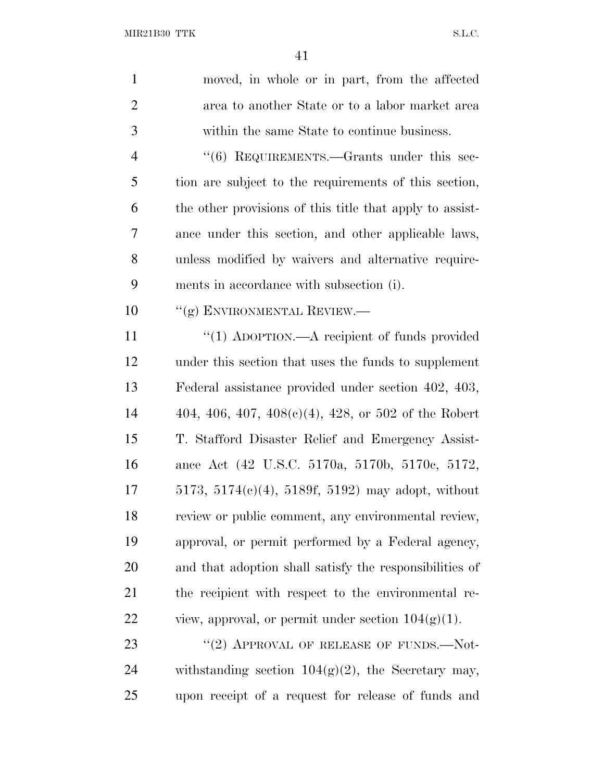| $\mathbf{1}$   | moved, in whole or in part, from the affected            |
|----------------|----------------------------------------------------------|
| $\overline{2}$ | area to another State or to a labor market area          |
| 3              | within the same State to continue business.              |
| $\overline{4}$ | "(6) REQUIREMENTS.—Grants under this sec-                |
| 5              | tion are subject to the requirements of this section,    |
| 6              | the other provisions of this title that apply to assist- |
| 7              | ance under this section, and other applicable laws,      |
| 8              | unless modified by waivers and alternative require-      |
| 9              | ments in accordance with subsection (i).                 |
| 10             | "(g) ENVIRONMENTAL REVIEW.—                              |
| 11             | "(1) ADOPTION.—A recipient of funds provided             |
| 12             | under this section that uses the funds to supplement     |
| 13             | Federal assistance provided under section 402, 403,      |
| 14             | 404, 406, 407, 408(c)(4), 428, or 502 of the Robert      |
| 15             | T. Stafford Disaster Relief and Emergency Assist-        |
| 16             | ance Act (42 U.S.C. 5170a, 5170b, 5170c, 5172,           |
| 17             | $5173, 5174(c)(4), 5189f, 5192$ may adopt, without       |
| 18             | review or public comment, any environmental review,      |
| 19             | approval, or permit performed by a Federal agency,       |
| 20             | and that adoption shall satisfy the responsibilities of  |
| 21             | the recipient with respect to the environmental re-      |
| 22             | view, approval, or permit under section $104(g)(1)$ .    |
| 23             | "(2) APPROVAL OF RELEASE OF FUNDS.— $Not$ -              |
| 24             | withstanding section $104(g)(2)$ , the Secretary may,    |
| 25             | upon receipt of a request for release of funds and       |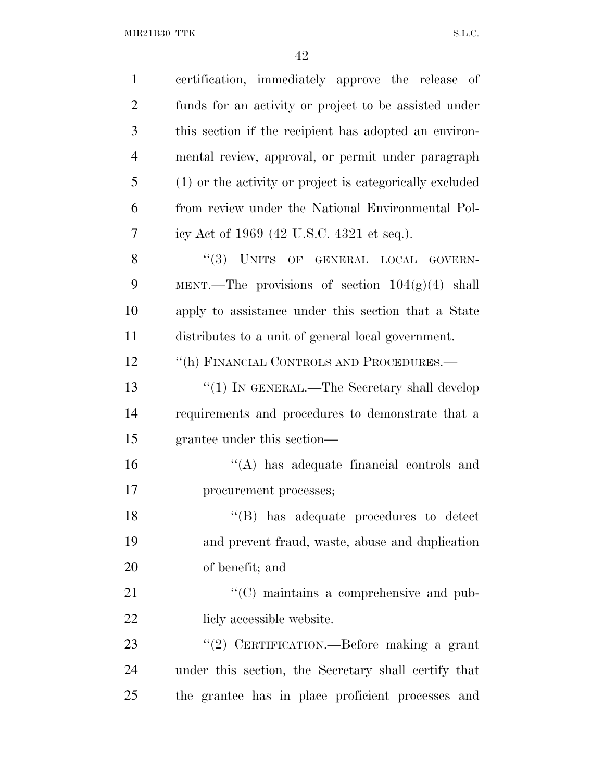$\rm MIR21B30~TTK \rm \qquad \qquad S.L.C.$ 

| $\mathbf{1}$   | certification, immediately approve the release of        |
|----------------|----------------------------------------------------------|
| $\overline{2}$ | funds for an activity or project to be assisted under    |
| 3              | this section if the recipient has adopted an environ-    |
| $\overline{4}$ | mental review, approval, or permit under paragraph       |
| 5              | (1) or the activity or project is categorically excluded |
| 6              | from review under the National Environmental Pol-        |
| 7              | icy Act of 1969 (42 U.S.C. 4321 et seq.).                |
| 8              | "(3) UNITS OF GENERAL LOCAL GOVERN-                      |
| 9              | MENT.—The provisions of section $104(g)(4)$ shall        |
| 10             | apply to assistance under this section that a State      |
| 11             | distributes to a unit of general local government.       |
| 12             | "(h) FINANCIAL CONTROLS AND PROCEDURES.—                 |
| 13             | " $(1)$ IN GENERAL.—The Secretary shall develop          |
| 14             | requirements and procedures to demonstrate that a        |
| 15             | grantee under this section—                              |
| 16             | $\lq\lq$ has adequate financial controls and             |
| 17             | procurement processes;                                   |
| 18             | $\lq\lq$ (B) has adequate procedures to detect           |
| 19             | and prevent fraud, waste, abuse and duplication          |
| 20             | of benefit; and                                          |
| 21             | "(C) maintains a comprehensive and pub-                  |
| 22             | licly accessible website.                                |
| 23             | "(2) CERTIFICATION.—Before making a grant                |
| 24             | under this section, the Secretary shall certify that     |
| 25             | the grantee has in place proficient processes and        |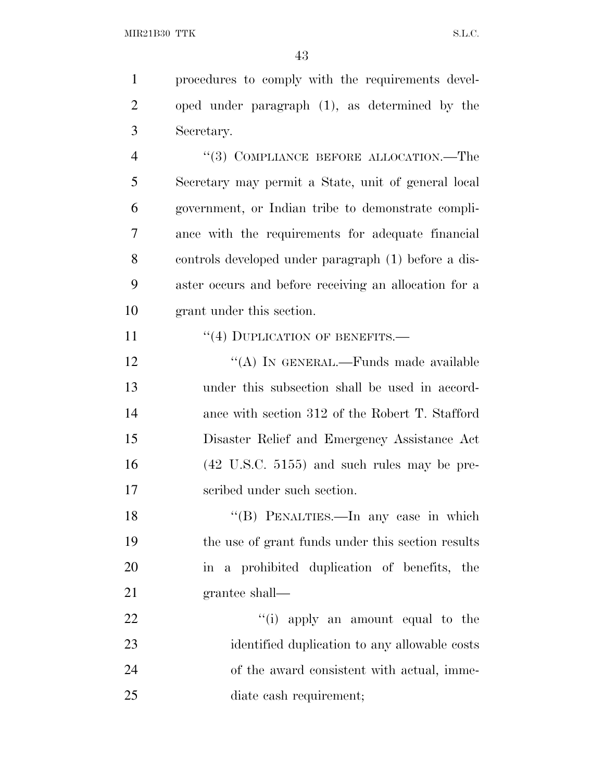procedures to comply with the requirements devel- oped under paragraph (1), as determined by the Secretary. 4 "(3) COMPLIANCE BEFORE ALLOCATION.—The Secretary may permit a State, unit of general local

 government, or Indian tribe to demonstrate compli- ance with the requirements for adequate financial controls developed under paragraph (1) before a dis- aster occurs and before receiving an allocation for a grant under this section.

11 "(4) DUPLICATION OF BENEFITS.—

12 "(A) IN GENERAL.—Funds made available under this subsection shall be used in accord- ance with section 312 of the Robert T. Stafford Disaster Relief and Emergency Assistance Act (42 U.S.C. 5155) and such rules may be pre-scribed under such section.

18 "(B) PENALTIES.—In any case in which the use of grant funds under this section results in a prohibited duplication of benefits, the grantee shall—

 $\frac{1}{2}$   $\frac{1}{2}$   $\frac{1}{2}$  apply an amount equal to the identified duplication to any allowable costs of the award consistent with actual, imme-diate cash requirement;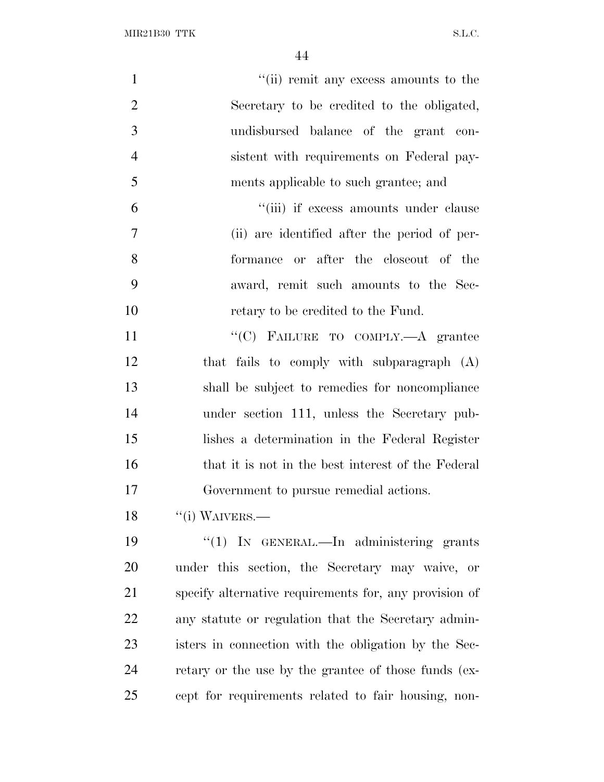| $\mathbf{1}$   | "(ii) remit any excess amounts to the                  |
|----------------|--------------------------------------------------------|
| $\overline{2}$ | Secretary to be credited to the obligated,             |
| 3              | undisbursed balance of the grant con-                  |
| $\overline{4}$ | sistent with requirements on Federal pay-              |
| 5              | ments applicable to such grantee; and                  |
| 6              | "(iii) if excess amounts under clause                  |
| $\overline{7}$ | (ii) are identified after the period of per-           |
| 8              | formance or after the closeout of the                  |
| 9              | award, remit such amounts to the Sec-                  |
| 10             | retary to be credited to the Fund.                     |
| 11             | "(C) FAILURE TO COMPLY.—A grantee                      |
| 12             | that fails to comply with subparagraph (A)             |
| 13             | shall be subject to remedies for noncompliance         |
| 14             | under section 111, unless the Secretary pub-           |
| 15             | lishes a determination in the Federal Register         |
| 16             | that it is not in the best interest of the Federal     |
| 17             | Government to pursue remedial actions.                 |
| 18             | $``(i)$ WAIVERS.—                                      |
| 19             | "(1) IN GENERAL.—In administering grants               |
| 20             | under this section, the Secretary may waive, or        |
| 21             | specify alternative requirements for, any provision of |
| 22             | any statute or regulation that the Secretary admin-    |
| 23             | isters in connection with the obligation by the Sec-   |
| 24             | retary or the use by the grantee of those funds (ex-   |
| 25             | cept for requirements related to fair housing, non-    |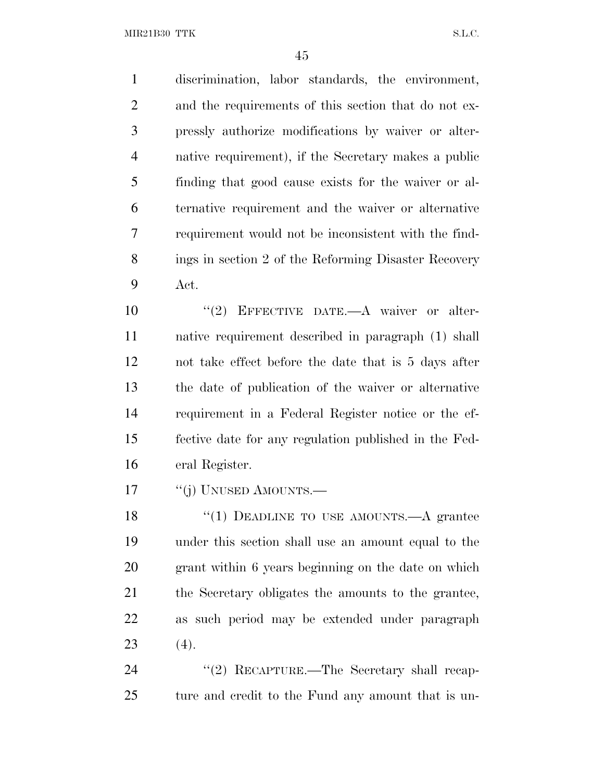MIR21B30 TTK S.L.C.

 discrimination, labor standards, the environment, and the requirements of this section that do not ex- pressly authorize modifications by waiver or alter- native requirement), if the Secretary makes a public finding that good cause exists for the waiver or al- ternative requirement and the waiver or alternative requirement would not be inconsistent with the find- ings in section 2 of the Reforming Disaster Recovery Act.  $(2)$  EFFECTIVE DATE.—A waiver or alter- native requirement described in paragraph (1) shall not take effect before the date that is 5 days after the date of publication of the waiver or alternative requirement in a Federal Register notice or the ef-fective date for any regulation published in the Fed-

eral Register.

17 "(j) UNUSED AMOUNTS.—

18 "(1) DEADLINE TO USE AMOUNTS.—A grantee under this section shall use an amount equal to the grant within 6 years beginning on the date on which the Secretary obligates the amounts to the grantee, as such period may be extended under paragraph 23  $(4)$ .

24 "(2) RECAPTURE.—The Secretary shall recap-ture and credit to the Fund any amount that is un-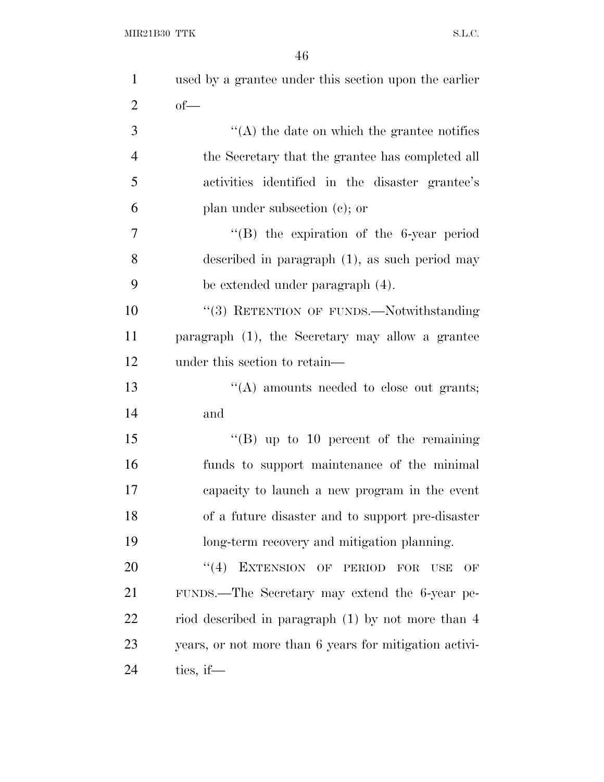| $\mathbf{1}$   | used by a grantee under this section upon the earlier          |
|----------------|----------------------------------------------------------------|
| $\overline{2}$ | $of$ —                                                         |
| 3              | $\lq\lq$ the date on which the grantee notifies                |
| $\overline{4}$ | the Secretary that the grantee has completed all               |
| 5              | activities identified in the disaster grantee's                |
| 6              | plan under subsection $(c)$ ; or                               |
| 7              | $\lq\lq$ the expiration of the 6-year period                   |
| 8              | described in paragraph $(1)$ , as such period may              |
| 9              | be extended under paragraph (4).                               |
| 10             | "(3) RETENTION OF FUNDS.—Notwithstanding                       |
| 11             | paragraph (1), the Secretary may allow a grantee               |
| 12             | under this section to retain—                                  |
| 13             | "(A) amounts needed to close out grants;                       |
| 14             | and                                                            |
| 15             | $\lq\lq (B)$ up to 10 percent of the remaining                 |
| 16             | funds to support maintenance of the minimal                    |
| 17             | capacity to launch a new program in the event                  |
| 18             | of a future disaster and to support pre-disaster               |
| 19             | long-term recovery and mitigation planning.                    |
| 20             | EXTENSION OF PERIOD<br>``(4)<br><b>FOR</b><br><b>USE</b><br>OF |
| 21             | FUNDS.—The Secretary may extend the 6-year pe-                 |
| 22             | riod described in paragraph $(1)$ by not more than 4           |
| 23             | years, or not more than 6 years for mitigation activi-         |
| 24             | ties, if $-$                                                   |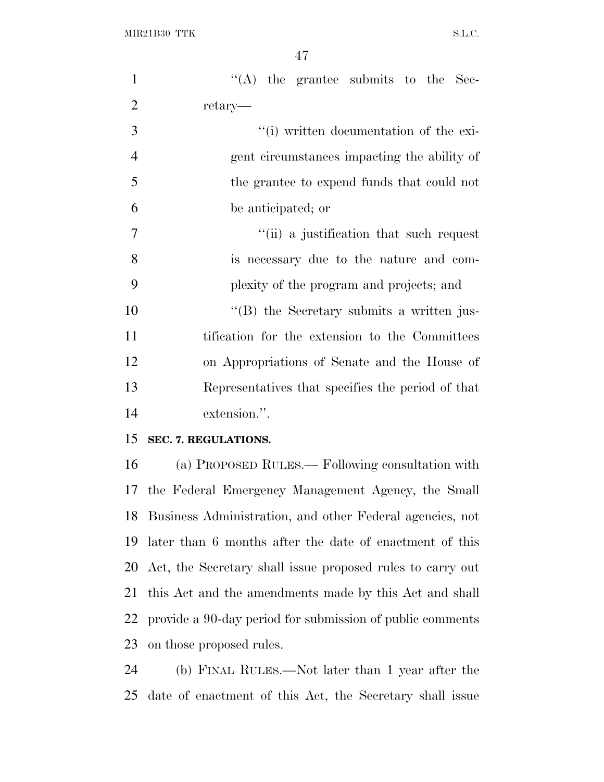| $\mathbf{1}$   | "(A) the grantee submits to the Sec-                       |
|----------------|------------------------------------------------------------|
| $\overline{2}$ | retary—                                                    |
| 3              | "(i) written documentation of the exi-                     |
| $\overline{4}$ | gent circumstances impacting the ability of                |
| 5              | the grantee to expend funds that could not                 |
| 6              | be anticipated; or                                         |
| 7              | "(ii) a justification that such request                    |
| 8              | is necessary due to the nature and com-                    |
| 9              | plexity of the program and projects; and                   |
| 10             | "(B) the Secretary submits a written jus-                  |
| 11             | tification for the extension to the Committees             |
| 12             | on Appropriations of Senate and the House of               |
| 13             | Representatives that specifies the period of that          |
| 14             | extension.".                                               |
| 15             | SEC. 7. REGULATIONS.                                       |
| 16             | (a) PROPOSED RULES.— Following consultation with           |
| 17             | the Federal Emergency Management Agency, the Small         |
| 18             | Business Administration, and other Federal agencies, not   |
| 19             | later than 6 months after the date of enactment of this    |
| 20             | Act, the Secretary shall issue proposed rules to carry out |
| 21             | this Act and the amendments made by this Act and shall     |
| 22             | provide a 90-day period for submission of public comments  |
| 23             | on those proposed rules.                                   |
| 24             | (b) FINAL RULES.—Not later than 1 year after the           |
| 25             | date of enactment of this Act, the Secretary shall issue   |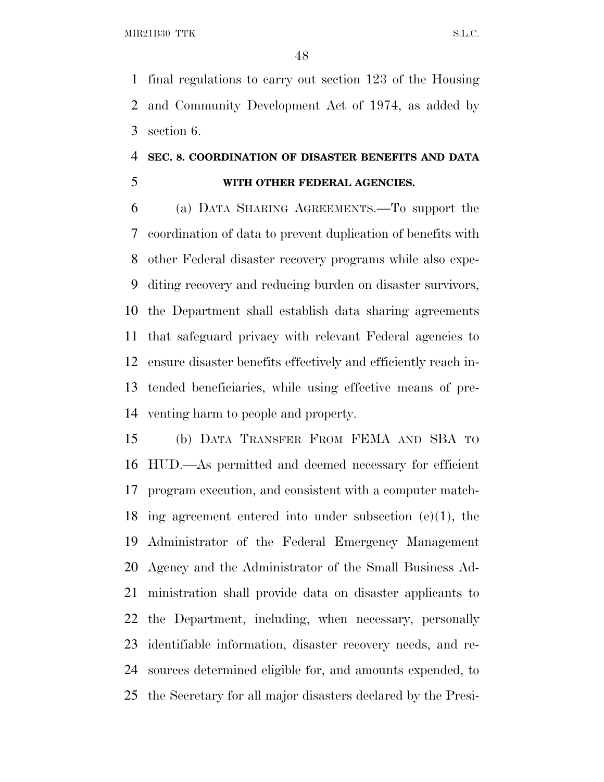final regulations to carry out section 123 of the Housing and Community Development Act of 1974, as added by section 6.

## **SEC. 8. COORDINATION OF DISASTER BENEFITS AND DATA WITH OTHER FEDERAL AGENCIES.**

 (a) DATA SHARING AGREEMENTS.—To support the coordination of data to prevent duplication of benefits with other Federal disaster recovery programs while also expe- diting recovery and reducing burden on disaster survivors, the Department shall establish data sharing agreements that safeguard privacy with relevant Federal agencies to ensure disaster benefits effectively and efficiently reach in- tended beneficiaries, while using effective means of pre-venting harm to people and property.

 (b) DATA TRANSFER FROM FEMA AND SBA TO HUD.—As permitted and deemed necessary for efficient program execution, and consistent with a computer match- ing agreement entered into under subsection (e)(1), the Administrator of the Federal Emergency Management Agency and the Administrator of the Small Business Ad- ministration shall provide data on disaster applicants to the Department, including, when necessary, personally identifiable information, disaster recovery needs, and re- sources determined eligible for, and amounts expended, to the Secretary for all major disasters declared by the Presi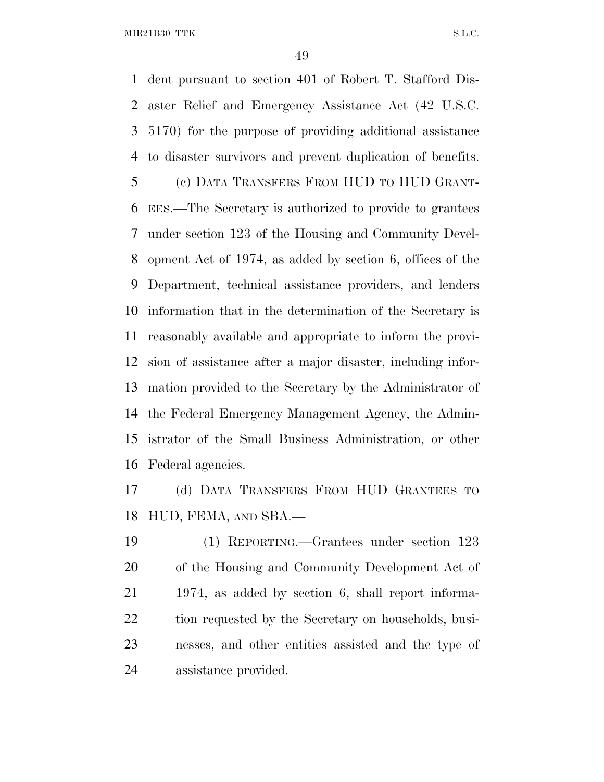MIR21B30 TTK S.L.C.

 dent pursuant to section 401 of Robert T. Stafford Dis- aster Relief and Emergency Assistance Act (42 U.S.C. 5170) for the purpose of providing additional assistance to disaster survivors and prevent duplication of benefits. (c) DATA TRANSFERS FROM HUD TO HUD GRANT- EES.—The Secretary is authorized to provide to grantees under section 123 of the Housing and Community Devel- opment Act of 1974, as added by section 6, offices of the Department, technical assistance providers, and lenders information that in the determination of the Secretary is reasonably available and appropriate to inform the provi- sion of assistance after a major disaster, including infor- mation provided to the Secretary by the Administrator of the Federal Emergency Management Agency, the Admin- istrator of the Small Business Administration, or other Federal agencies.

 (d) DATA TRANSFERS FROM HUD GRANTEES TO HUD, FEMA, AND SBA.—

 (1) REPORTING.—Grantees under section 123 of the Housing and Community Development Act of 1974, as added by section 6, shall report informa-22 tion requested by the Secretary on households, busi- nesses, and other entities assisted and the type of assistance provided.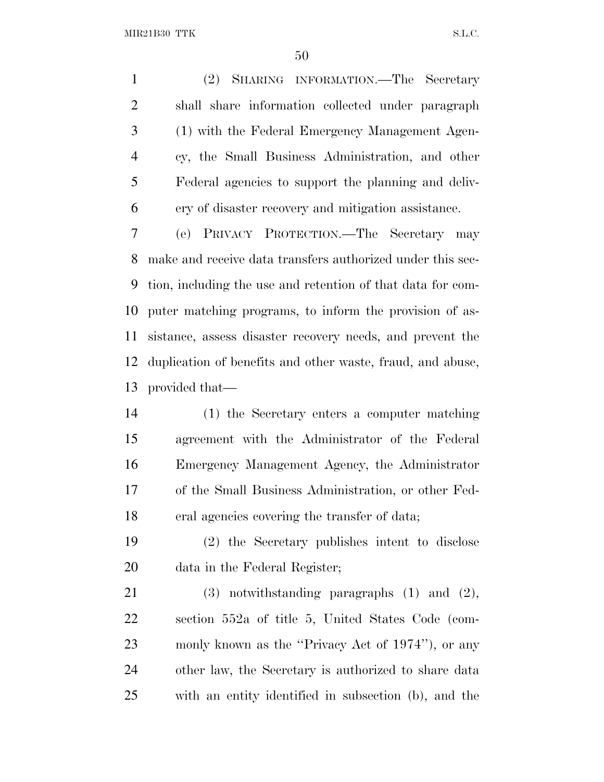(2) SHARING INFORMATION.—The Secretary shall share information collected under paragraph (1) with the Federal Emergency Management Agen- cy, the Small Business Administration, and other Federal agencies to support the planning and deliv-ery of disaster recovery and mitigation assistance.

 (e) PRIVACY PROTECTION.—The Secretary may make and receive data transfers authorized under this sec- tion, including the use and retention of that data for com- puter matching programs, to inform the provision of as- sistance, assess disaster recovery needs, and prevent the duplication of benefits and other waste, fraud, and abuse, provided that—

 (1) the Secretary enters a computer matching agreement with the Administrator of the Federal Emergency Management Agency, the Administrator of the Small Business Administration, or other Fed-eral agencies covering the transfer of data;

 (2) the Secretary publishes intent to disclose data in the Federal Register;

 (3) notwithstanding paragraphs (1) and (2), section 552a of title 5, United States Code (com- monly known as the ''Privacy Act of 1974''), or any other law, the Secretary is authorized to share data with an entity identified in subsection (b), and the